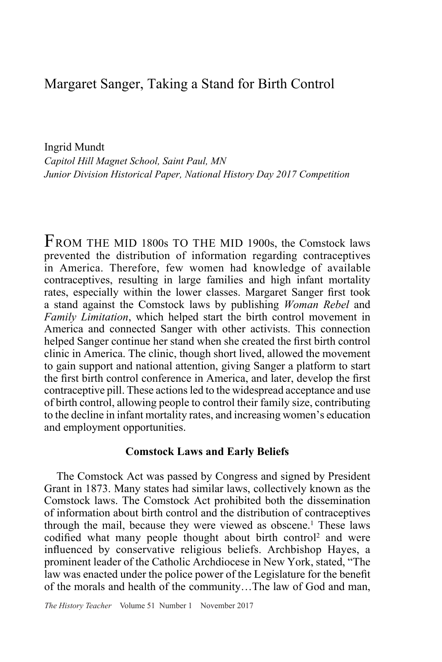## Margaret Sanger, Taking a Stand for Birth Control

Ingrid Mundt *Capitol Hill Magnet School, Saint Paul, MN Junior Division Historical Paper, National History Day 2017 Competition*

FROM THE MID 1800s TO THE MID 1900s, the Comstock laws prevented the distribution of information regarding contraceptives in America. Therefore, few women had knowledge of available contraceptives, resulting in large families and high infant mortality rates, especially within the lower classes. Margaret Sanger first took a stand against the Comstock laws by publishing *Woman Rebel* and *Family Limitation*, which helped start the birth control movement in America and connected Sanger with other activists. This connection helped Sanger continue her stand when she created the first birth control clinic in America. The clinic, though short lived, allowed the movement to gain support and national attention, giving Sanger a platform to start the first birth control conference in America, and later, develop the first contraceptive pill. These actions led to the widespread acceptance and use of birth control, allowing people to control their family size, contributing to the decline in infant mortality rates, and increasing women's education and employment opportunities.

## **Comstock Laws and Early Beliefs**

The Comstock Act was passed by Congress and signed by President Grant in 1873. Many states had similar laws, collectively known as the Comstock laws. The Comstock Act prohibited both the dissemination of information about birth control and the distribution of contraceptives through the mail, because they were viewed as obscene.<sup>1</sup> These laws codified what many people thought about birth control<sup>2</sup> and were influenced by conservative religious beliefs. Archbishop Hayes, a prominent leader of the Catholic Archdiocese in New York, stated, "The law was enacted under the police power of the Legislature for the benefit of the morals and health of the community…The law of God and man,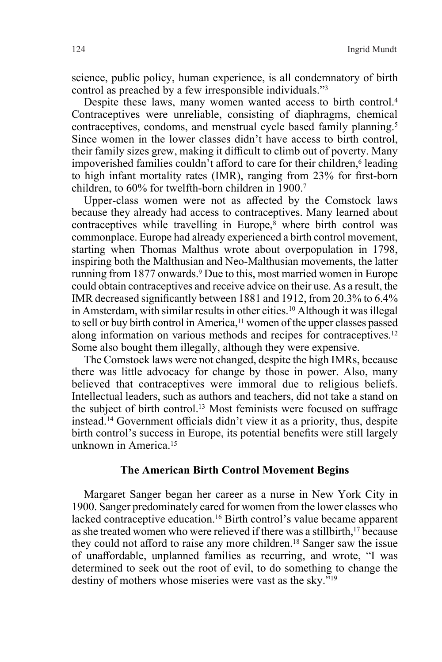science, public policy, human experience, is all condemnatory of birth control as preached by a few irresponsible individuals."3

Despite these laws, many women wanted access to birth control.<sup>4</sup> Contraceptives were unreliable, consisting of diaphragms, chemical contraceptives, condoms, and menstrual cycle based family planning.<sup>5</sup> Since women in the lower classes didn't have access to birth control, their family sizes grew, making it difficult to climb out of poverty. Many impoverished families couldn't afford to care for their children,<sup>6</sup> leading to high infant mortality rates (IMR), ranging from 23% for first-born children, to 60% for twelfth-born children in 1900.<sup>7</sup>

Upper-class women were not as affected by the Comstock laws because they already had access to contraceptives. Many learned about contraceptives while travelling in Europe, $\bar{s}$  where birth control was commonplace. Europe had already experienced a birth control movement, starting when Thomas Malthus wrote about overpopulation in 1798, inspiring both the Malthusian and Neo-Malthusian movements, the latter running from 1877 onwards.9 Due to this, most married women in Europe could obtain contraceptives and receive advice on their use. As a result, the IMR decreased significantly between 1881 and 1912, from 20.3% to 6.4% in Amsterdam, with similar results in other cities.10 Although it was illegal to sell or buy birth control in America,<sup>11</sup> women of the upper classes passed along information on various methods and recipes for contraceptives.<sup>12</sup> Some also bought them illegally, although they were expensive.

The Comstock laws were not changed, despite the high IMRs, because there was little advocacy for change by those in power. Also, many believed that contraceptives were immoral due to religious beliefs. Intellectual leaders, such as authors and teachers, did not take a stand on the subject of birth control.13 Most feminists were focused on suffrage instead.14 Government officials didn't view it as a priority, thus, despite birth control's success in Europe, its potential benefits were still largely unknown in America.15

## **The American Birth Control Movement Begins**

Margaret Sanger began her career as a nurse in New York City in 1900. Sanger predominately cared for women from the lower classes who lacked contraceptive education.<sup>16</sup> Birth control's value became apparent as she treated women who were relieved if there was a stillbirth,<sup>17</sup> because they could not afford to raise any more children.18 Sanger saw the issue of unaffordable, unplanned families as recurring, and wrote, "I was determined to seek out the root of evil, to do something to change the destiny of mothers whose miseries were vast as the sky."19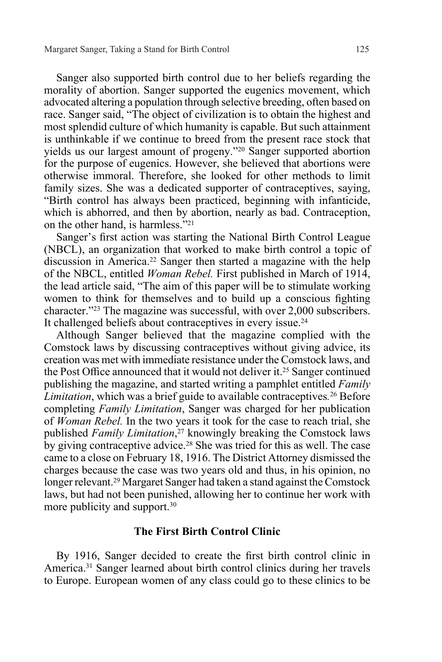Sanger also supported birth control due to her beliefs regarding the morality of abortion. Sanger supported the eugenics movement, which advocated altering a population through selective breeding, often based on race. Sanger said, "The object of civilization is to obtain the highest and most splendid culture of which humanity is capable. But such attainment is unthinkable if we continue to breed from the present race stock that yields us our largest amount of progeny."20 Sanger supported abortion for the purpose of eugenics. However, she believed that abortions were otherwise immoral. Therefore, she looked for other methods to limit family sizes. She was a dedicated supporter of contraceptives, saying, "Birth control has always been practiced, beginning with infanticide, which is abhorred, and then by abortion, nearly as bad. Contraception, on the other hand, is harmless."21

Sanger's first action was starting the National Birth Control League (NBCL), an organization that worked to make birth control a topic of discussion in America.<sup>22</sup> Sanger then started a magazine with the help of the NBCL, entitled *Woman Rebel.* First published in March of 1914, the lead article said, "The aim of this paper will be to stimulate working women to think for themselves and to build up a conscious fighting character."23 The magazine was successful, with over 2,000 subscribers. It challenged beliefs about contraceptives in every issue.<sup>24</sup>

Although Sanger believed that the magazine complied with the Comstock laws by discussing contraceptives without giving advice, its creation was met with immediate resistance under the Comstock laws, and the Post Office announced that it would not deliver it.<sup>25</sup> Sanger continued publishing the magazine, and started writing a pamphlet entitled *Family Limitation*, which was a brief guide to available contraceptives*.* <sup>26</sup> Before completing *Family Limitation*, Sanger was charged for her publication of *Woman Rebel.* In the two years it took for the case to reach trial, she published *Family Limitation*, <sup>27</sup> knowingly breaking the Comstock laws by giving contraceptive advice.<sup>28</sup> She was tried for this as well. The case came to a close on February 18, 1916. The District Attorney dismissed the charges because the case was two years old and thus, in his opinion, no longer relevant.29 Margaret Sanger had taken a stand against the Comstock laws, but had not been punished, allowing her to continue her work with more publicity and support.<sup>30</sup>

## **The First Birth Control Clinic**

By 1916, Sanger decided to create the first birth control clinic in America.31 Sanger learned about birth control clinics during her travels to Europe. European women of any class could go to these clinics to be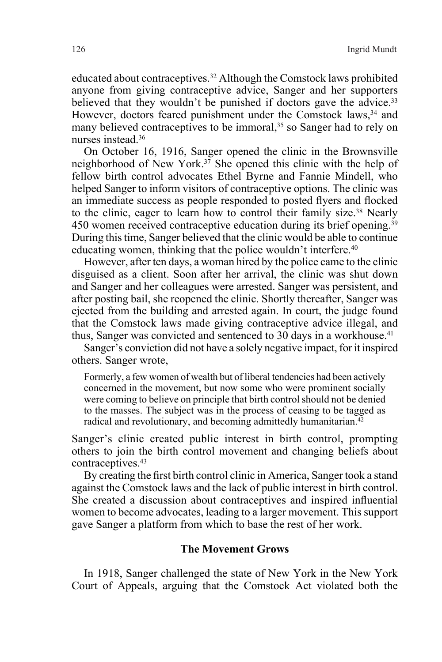educated about contraceptives.32 Although the Comstock laws prohibited anyone from giving contraceptive advice, Sanger and her supporters believed that they wouldn't be punished if doctors gave the advice.<sup>33</sup> However, doctors feared punishment under the Comstock laws,<sup>34</sup> and many believed contraceptives to be immoral,<sup>35</sup> so Sanger had to rely on nurses instead.36

On October 16, 1916, Sanger opened the clinic in the Brownsville neighborhood of New York.37 She opened this clinic with the help of fellow birth control advocates Ethel Byrne and Fannie Mindell, who helped Sanger to inform visitors of contraceptive options. The clinic was an immediate success as people responded to posted flyers and flocked to the clinic, eager to learn how to control their family size.38 Nearly 450 women received contraceptive education during its brief opening.39 During this time, Sanger believed that the clinic would be able to continue educating women, thinking that the police wouldn't interfere.<sup>40</sup>

However, after ten days, a woman hired by the police came to the clinic disguised as a client. Soon after her arrival, the clinic was shut down and Sanger and her colleagues were arrested. Sanger was persistent, and after posting bail, she reopened the clinic. Shortly thereafter, Sanger was ejected from the building and arrested again. In court, the judge found that the Comstock laws made giving contraceptive advice illegal, and thus, Sanger was convicted and sentenced to 30 days in a workhouse.<sup>41</sup>

Sanger's conviction did not have a solely negative impact, for it inspired others. Sanger wrote,

Formerly, a few women of wealth but of liberal tendencies had been actively concerned in the movement, but now some who were prominent socially were coming to believe on principle that birth control should not be denied to the masses. The subject was in the process of ceasing to be tagged as radical and revolutionary, and becoming admittedly humanitarian.<sup>42</sup>

Sanger's clinic created public interest in birth control, prompting others to join the birth control movement and changing beliefs about contraceptives.<sup>43</sup>

By creating the first birth control clinic in America, Sanger took a stand against the Comstock laws and the lack of public interest in birth control. She created a discussion about contraceptives and inspired influential women to become advocates, leading to a larger movement. This support gave Sanger a platform from which to base the rest of her work.

## **The Movement Grows**

In 1918, Sanger challenged the state of New York in the New York Court of Appeals, arguing that the Comstock Act violated both the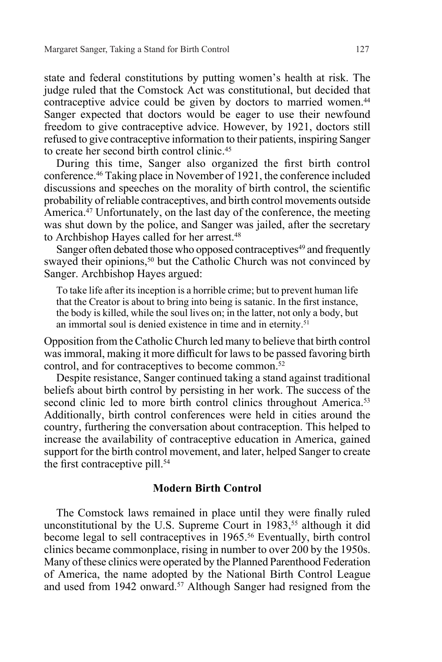state and federal constitutions by putting women's health at risk. The judge ruled that the Comstock Act was constitutional, but decided that contraceptive advice could be given by doctors to married women.<sup>44</sup> Sanger expected that doctors would be eager to use their newfound freedom to give contraceptive advice. However, by 1921, doctors still refused to give contraceptive information to their patients, inspiring Sanger to create her second birth control clinic.45

During this time, Sanger also organized the first birth control conference.46 Taking place in November of 1921, the conference included discussions and speeches on the morality of birth control, the scientific probability of reliable contraceptives, and birth control movements outside America.47 Unfortunately, on the last day of the conference, the meeting was shut down by the police, and Sanger was jailed, after the secretary to Archbishop Hayes called for her arrest.<sup>48</sup>

Sanger often debated those who opposed contraceptives<sup>49</sup> and frequently swayed their opinions,<sup>50</sup> but the Catholic Church was not convinced by Sanger. Archbishop Hayes argued:

To take life after its inception is a horrible crime; but to prevent human life that the Creator is about to bring into being is satanic. In the first instance, the body is killed, while the soul lives on; in the latter, not only a body, but an immortal soul is denied existence in time and in eternity.<sup>51</sup>

Opposition from the Catholic Church led many to believe that birth control was immoral, making it more difficult for laws to be passed favoring birth control, and for contraceptives to become common.52

Despite resistance, Sanger continued taking a stand against traditional beliefs about birth control by persisting in her work. The success of the second clinic led to more birth control clinics throughout America.<sup>53</sup> Additionally, birth control conferences were held in cities around the country, furthering the conversation about contraception. This helped to increase the availability of contraceptive education in America, gained support for the birth control movement, and later, helped Sanger to create the first contraceptive pill.<sup>54</sup>

### **Modern Birth Control**

The Comstock laws remained in place until they were finally ruled unconstitutional by the U.S. Supreme Court in 1983,<sup>55</sup> although it did become legal to sell contraceptives in 1965.<sup>56</sup> Eventually, birth control clinics became commonplace, rising in number to over 200 by the 1950s. Many of these clinics were operated by the Planned Parenthood Federation of America, the name adopted by the National Birth Control League and used from 1942 onward.57 Although Sanger had resigned from the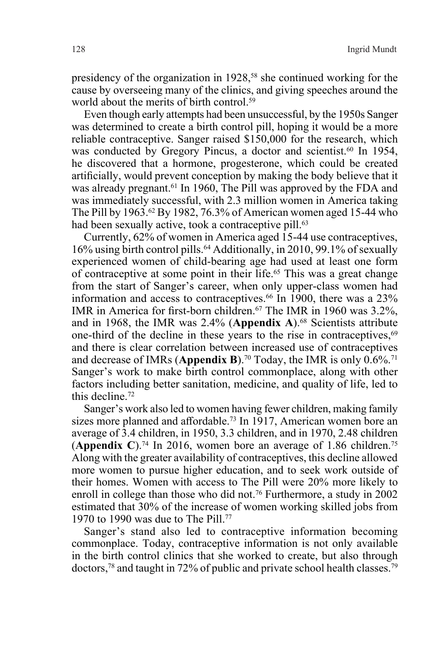presidency of the organization in 1928,<sup>58</sup> she continued working for the cause by overseeing many of the clinics, and giving speeches around the world about the merits of birth control.<sup>59</sup>

Even though early attempts had been unsuccessful, by the 1950s Sanger was determined to create a birth control pill, hoping it would be a more reliable contraceptive. Sanger raised \$150,000 for the research, which was conducted by Gregory Pincus, a doctor and scientist.<sup>60</sup> In 1954, he discovered that a hormone, progesterone, which could be created artificially, would prevent conception by making the body believe that it was already pregnant.<sup>61</sup> In 1960, The Pill was approved by the FDA and was immediately successful, with 2.3 million women in America taking The Pill by 1963.<sup>62</sup> By 1982, 76.3% of American women aged 15-44 who had been sexually active, took a contraceptive pill.<sup>63</sup>

Currently, 62% of women in America aged 15-44 use contraceptives, 16% using birth control pills.64 Additionally, in 2010, 99.1% of sexually experienced women of child-bearing age had used at least one form of contraceptive at some point in their life.65 This was a great change from the start of Sanger's career, when only upper-class women had information and access to contraceptives.<sup>66</sup> In 1900, there was a 23% IMR in America for first-born children.67 The IMR in 1960 was 3.2%, and in 1968, the IMR was 2.4% (**Appendix A**).68 Scientists attribute one-third of the decline in these years to the rise in contraceptives,<sup>69</sup> and there is clear correlation between increased use of contraceptives and decrease of IMRs (Appendix B).<sup>70</sup> Today, the IMR is only  $0.6\%$ <sup>71</sup> Sanger's work to make birth control commonplace, along with other factors including better sanitation, medicine, and quality of life, led to this decline.72

Sanger's work also led to women having fewer children, making family sizes more planned and affordable.<sup>73</sup> In 1917, American women bore an average of 3.4 children, in 1950, 3.3 children, and in 1970, 2.48 children (**Appendix C**).74 In 2016, women bore an average of 1.86 children.75 Along with the greater availability of contraceptives, this decline allowed more women to pursue higher education, and to seek work outside of their homes. Women with access to The Pill were 20% more likely to enroll in college than those who did not.<sup>76</sup> Furthermore, a study in 2002 estimated that 30% of the increase of women working skilled jobs from 1970 to 1990 was due to The Pill.77

Sanger's stand also led to contraceptive information becoming commonplace. Today, contraceptive information is not only available in the birth control clinics that she worked to create, but also through doctors,78 and taught in 72% of public and private school health classes.79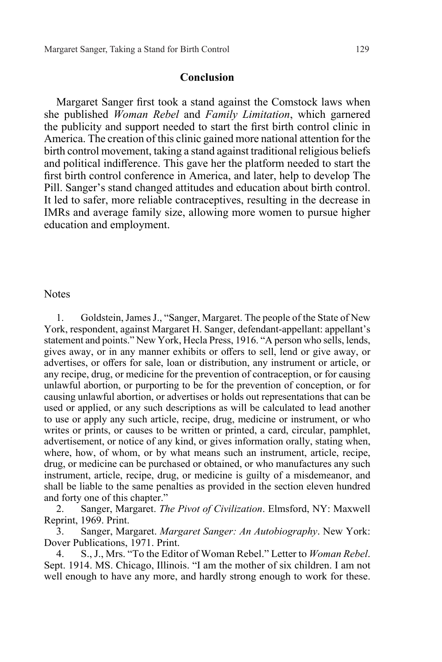#### **Conclusion**

Margaret Sanger first took a stand against the Comstock laws when she published *Woman Rebel* and *Family Limitation*, which garnered the publicity and support needed to start the first birth control clinic in America. The creation of this clinic gained more national attention for the birth control movement, taking a stand against traditional religious beliefs and political indifference. This gave her the platform needed to start the first birth control conference in America, and later, help to develop The Pill. Sanger's stand changed attitudes and education about birth control. It led to safer, more reliable contraceptives, resulting in the decrease in IMRs and average family size, allowing more women to pursue higher education and employment.

#### Notes

1. Goldstein, James J., "Sanger, Margaret. The people of the State of New York, respondent, against Margaret H. Sanger, defendant-appellant: appellant's statement and points." New York, Hecla Press, 1916. "A person who sells, lends, gives away, or in any manner exhibits or offers to sell, lend or give away, or advertises, or offers for sale, loan or distribution, any instrument or article, or any recipe, drug, or medicine for the prevention of contraception, or for causing unlawful abortion, or purporting to be for the prevention of conception, or for causing unlawful abortion, or advertises or holds out representations that can be used or applied, or any such descriptions as will be calculated to lead another to use or apply any such article, recipe, drug, medicine or instrument, or who writes or prints, or causes to be written or printed, a card, circular, pamphlet, advertisement, or notice of any kind, or gives information orally, stating when, where, how, of whom, or by what means such an instrument, article, recipe, drug, or medicine can be purchased or obtained, or who manufactures any such instrument, article, recipe, drug, or medicine is guilty of a misdemeanor, and shall be liable to the same penalties as provided in the section eleven hundred and forty one of this chapter."

2. Sanger, Margaret. *The Pivot of Civilization*. Elmsford, NY: Maxwell Reprint, 1969. Print.

3. Sanger, Margaret. *Margaret Sanger: An Autobiography*. New York: Dover Publications, 1971. Print.

4. S., J., Mrs. "To the Editor of Woman Rebel." Letter to *Woman Rebel*. Sept. 1914. MS. Chicago, Illinois. "I am the mother of six children. I am not well enough to have any more, and hardly strong enough to work for these.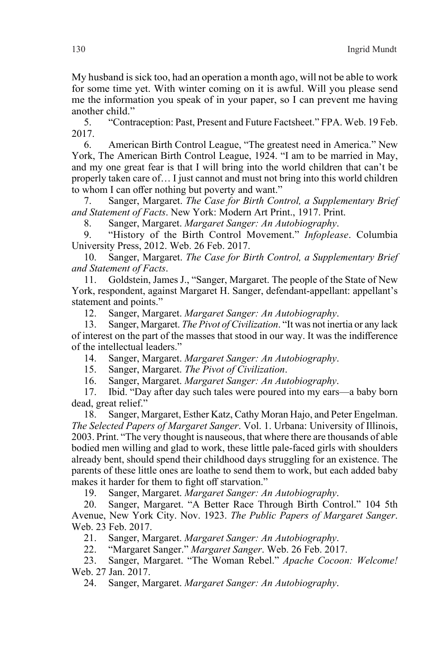My husband is sick too, had an operation a month ago, will not be able to work for some time yet. With winter coming on it is awful. Will you please send me the information you speak of in your paper, so I can prevent me having another child."

5. "Contraception: Past, Present and Future Factsheet." FPA. Web. 19 Feb. 2017.

6. American Birth Control League, "The greatest need in America." New York, The American Birth Control League, 1924. "I am to be married in May, and my one great fear is that I will bring into the world children that can't be properly taken care of… I just cannot and must not bring into this world children to whom I can offer nothing but poverty and want."

7. Sanger, Margaret. *The Case for Birth Control, a Supplementary Brief and Statement of Facts*. New York: Modern Art Print., 1917. Print.

8. Sanger, Margaret. *Margaret Sanger: An Autobiography*.

9. "History of the Birth Control Movement." *Infoplease*. Columbia University Press, 2012. Web. 26 Feb. 2017.

10. Sanger, Margaret. *The Case for Birth Control, a Supplementary Brief and Statement of Facts*.

11. Goldstein, James J., "Sanger, Margaret. The people of the State of New York, respondent, against Margaret H. Sanger, defendant-appellant: appellant's statement and points."

12. Sanger, Margaret. *Margaret Sanger: An Autobiography*.

13. Sanger, Margaret. *The Pivot of Civilization*. "It was not inertia or any lack of interest on the part of the masses that stood in our way. It was the indifference of the intellectual leaders."

14. Sanger, Margaret. *Margaret Sanger: An Autobiography*.

15. Sanger, Margaret. *The Pivot of Civilization*.

16. Sanger, Margaret. *Margaret Sanger: An Autobiography*.

17. Ibid. "Day after day such tales were poured into my ears—a baby born dead, great relief."

18. Sanger, Margaret, Esther Katz, Cathy Moran Hajo, and Peter Engelman. *The Selected Papers of Margaret Sanger*. Vol. 1. Urbana: University of Illinois, 2003. Print. "The very thought is nauseous, that where there are thousands of able bodied men willing and glad to work, these little pale-faced girls with shoulders already bent, should spend their childhood days struggling for an existence. The parents of these little ones are loathe to send them to work, but each added baby makes it harder for them to fight off starvation."

19. Sanger, Margaret. *Margaret Sanger: An Autobiography*.

20. Sanger, Margaret. "A Better Race Through Birth Control." 104 5th Avenue, New York City. Nov. 1923. *The Public Papers of Margaret Sanger*. Web. 23 Feb. 2017.

21. Sanger, Margaret. *Margaret Sanger: An Autobiography*.

22. "Margaret Sanger." *Margaret Sanger*. Web. 26 Feb. 2017.

23. Sanger, Margaret. "The Woman Rebel." *Apache Cocoon: Welcome!*  Web. 27 Jan. 2017.

24. Sanger, Margaret. *Margaret Sanger: An Autobiography*.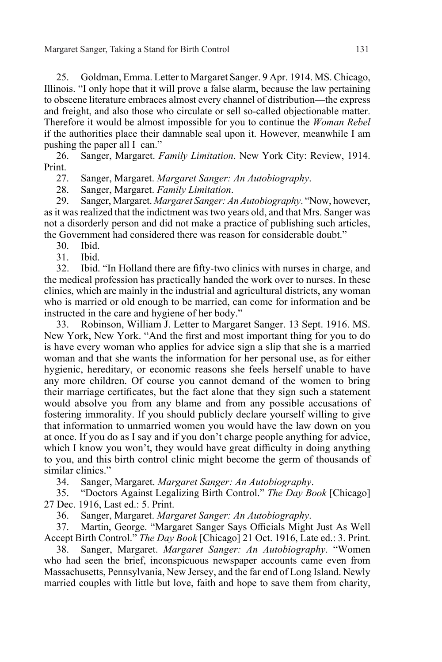Margaret Sanger, Taking a Stand for Birth Control 131

25. Goldman, Emma. Letter to Margaret Sanger. 9 Apr. 1914. MS. Chicago, Illinois. "I only hope that it will prove a false alarm, because the law pertaining to obscene literature embraces almost every channel of distribution—the express and freight, and also those who circulate or sell so-called objectionable matter. Therefore it would be almost impossible for you to continue the *Woman Rebel*  if the authorities place their damnable seal upon it. However, meanwhile I am pushing the paper all I can."

26. Sanger, Margaret. *Family Limitation*. New York City: Review, 1914. Print.

27. Sanger, Margaret. *Margaret Sanger: An Autobiography*.

28. Sanger, Margaret. *Family Limitation*.

29. Sanger, Margaret. *Margaret Sanger: An Autobiography*. "Now, however, as it was realized that the indictment was two years old, and that Mrs. Sanger was not a disorderly person and did not make a practice of publishing such articles, the Government had considered there was reason for considerable doubt."

- 30. Ibid.
- 31. Ibid.

32. Ibid. "In Holland there are fifty-two clinics with nurses in charge, and the medical profession has practically handed the work over to nurses. In these clinics, which are mainly in the industrial and agricultural districts, any woman who is married or old enough to be married, can come for information and be instructed in the care and hygiene of her body."

33. Robinson, William J. Letter to Margaret Sanger. 13 Sept. 1916. MS. New York, New York. "And the first and most important thing for you to do is have every woman who applies for advice sign a slip that she is a married woman and that she wants the information for her personal use, as for either hygienic, hereditary, or economic reasons she feels herself unable to have any more children. Of course you cannot demand of the women to bring their marriage certificates, but the fact alone that they sign such a statement would absolve you from any blame and from any possible accusations of fostering immorality. If you should publicly declare yourself willing to give that information to unmarried women you would have the law down on you at once. If you do as I say and if you don't charge people anything for advice, which I know you won't, they would have great difficulty in doing anything to you, and this birth control clinic might become the germ of thousands of similar clinics."

34. Sanger, Margaret. *Margaret Sanger: An Autobiography*.

35. "Doctors Against Legalizing Birth Control." *The Day Book* [Chicago] 27 Dec. 1916, Last ed.: 5. Print.

36. Sanger, Margaret. *Margaret Sanger: An Autobiography*.

37. Martin, George. "Margaret Sanger Says Officials Might Just As Well Accept Birth Control." *The Day Book* [Chicago] 21 Oct. 1916, Late ed.: 3. Print.

38. Sanger, Margaret. *Margaret Sanger: An Autobiography*. "Women who had seen the brief, inconspicuous newspaper accounts came even from Massachusetts, Pennsylvania, New Jersey, and the far end of Long Island. Newly married couples with little but love, faith and hope to save them from charity,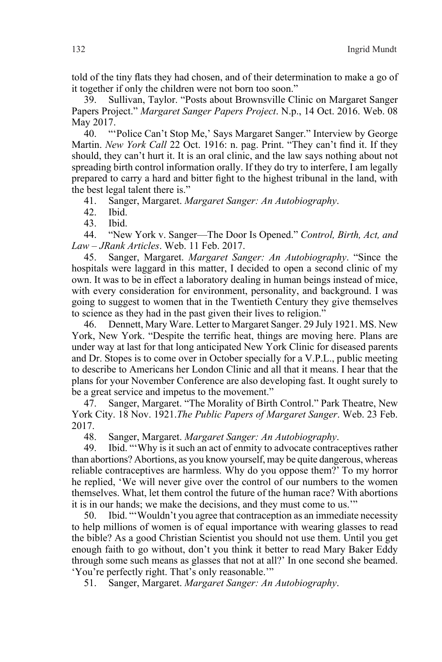told of the tiny flats they had chosen, and of their determination to make a go of it together if only the children were not born too soon."

39. Sullivan, Taylor. "Posts about Brownsville Clinic on Margaret Sanger Papers Project." *Margaret Sanger Papers Project*. N.p., 14 Oct. 2016. Web. 08 May 2017.

40. "'Police Can't Stop Me,' Says Margaret Sanger." Interview by George Martin. *New York Call* 22 Oct. 1916: n. pag. Print. "They can't find it. If they should, they can't hurt it. It is an oral clinic, and the law says nothing about not spreading birth control information orally. If they do try to interfere, I am legally prepared to carry a hard and bitter fight to the highest tribunal in the land, with the best legal talent there is."

41. Sanger, Margaret. *Margaret Sanger: An Autobiography*.

42. Ibid.

43. Ibid.

44. "New York v. Sanger—The Door Is Opened." *Control, Birth, Act, and Law – JRank Articles*. Web. 11 Feb. 2017.

45. Sanger, Margaret. *Margaret Sanger: An Autobiography*. "Since the hospitals were laggard in this matter, I decided to open a second clinic of my own. It was to be in effect a laboratory dealing in human beings instead of mice, with every consideration for environment, personality, and background. I was going to suggest to women that in the Twentieth Century they give themselves to science as they had in the past given their lives to religion.'

46. Dennett, Mary Ware. Letter to Margaret Sanger. 29 July 1921. MS. New York, New York. "Despite the terrific heat, things are moving here. Plans are under way at last for that long anticipated New York Clinic for diseased parents and Dr. Stopes is to come over in October specially for a V.P.L., public meeting to describe to Americans her London Clinic and all that it means. I hear that the plans for your November Conference are also developing fast. It ought surely to be a great service and impetus to the movement."

47. Sanger, Margaret. "The Morality of Birth Control." Park Theatre, New York City. 18 Nov. 1921.*The Public Papers of Margaret Sanger*. Web. 23 Feb. 2017.

48. Sanger, Margaret. *Margaret Sanger: An Autobiography*.

49. Ibid. "'Why is it such an act of enmity to advocate contraceptives rather than abortions? Abortions, as you know yourself, may be quite dangerous, whereas reliable contraceptives are harmless. Why do you oppose them?' To my horror he replied, 'We will never give over the control of our numbers to the women themselves. What, let them control the future of the human race? With abortions it is in our hands; we make the decisions, and they must come to us.'"

50. Ibid. "'Wouldn't you agree that contraception as an immediate necessity to help millions of women is of equal importance with wearing glasses to read the bible? As a good Christian Scientist you should not use them. Until you get enough faith to go without, don't you think it better to read Mary Baker Eddy through some such means as glasses that not at all?' In one second she beamed. 'You're perfectly right. That's only reasonable.'"

51. Sanger, Margaret. *Margaret Sanger: An Autobiography*.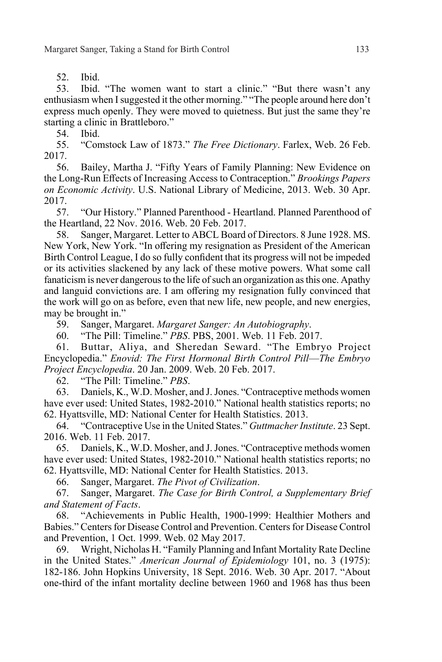52. Ibid.

53. Ibid. "The women want to start a clinic." "But there wasn't any enthusiasm when I suggested it the other morning." "The people around here don't express much openly. They were moved to quietness. But just the same they're starting a clinic in Brattleboro."

54. Ibid.

55. "Comstock Law of 1873." *The Free Dictionary*. Farlex, Web. 26 Feb. 2017.

56. Bailey, Martha J. "Fifty Years of Family Planning: New Evidence on the Long-Run Effects of Increasing Access to Contraception." *Brookings Papers on Economic Activity*. U.S. National Library of Medicine, 2013. Web. 30 Apr. 2017.

57. "Our History." Planned Parenthood - Heartland. Planned Parenthood of the Heartland, 22 Nov. 2016. Web. 20 Feb. 2017.

58. Sanger, Margaret. Letter to ABCL Board of Directors. 8 June 1928. MS. New York, New York. "In offering my resignation as President of the American Birth Control League, I do so fully confident that its progress will not be impeded or its activities slackened by any lack of these motive powers. What some call fanaticism is never dangerous to the life of such an organization as this one. Apathy and languid convictions are. I am offering my resignation fully convinced that the work will go on as before, even that new life, new people, and new energies, may be brought in."

59. Sanger, Margaret. *Margaret Sanger: An Autobiography*.

60. "The Pill: Timeline." *PBS*. PBS, 2001. Web. 11 Feb. 2017.

61. Buttar, Aliya, and Sheredan Seward. "The Embryo Project Encyclopedia." *Enovid: The First Hormonal Birth Control Pill*—*The Embryo Project Encyclopedia*. 20 Jan. 2009. Web. 20 Feb. 2017.

62. "The Pill: Timeline." *PBS*.

63. Daniels, K., W.D. Mosher, and J. Jones. "Contraceptive methods women have ever used: United States, 1982-2010." National health statistics reports; no 62. Hyattsville, MD: National Center for Health Statistics. 2013.

64. "Contraceptive Use in the United States." *Guttmacher Institute*. 23 Sept. 2016. Web. 11 Feb. 2017.

65. Daniels, K., W.D. Mosher, and J. Jones. "Contraceptive methods women have ever used: United States, 1982-2010." National health statistics reports; no 62. Hyattsville, MD: National Center for Health Statistics. 2013.

66. Sanger, Margaret. *The Pivot of Civilization*.

67. Sanger, Margaret. *The Case for Birth Control, a Supplementary Brief and Statement of Facts*.

68. "Achievements in Public Health, 1900-1999: Healthier Mothers and Babies." Centers for Disease Control and Prevention. Centers for Disease Control and Prevention, 1 Oct. 1999. Web. 02 May 2017.

69. Wright, Nicholas H. "Family Planning and Infant Mortality Rate Decline in the United States." *American Journal of Epidemiology* 101, no. 3 (1975): 182-186. John Hopkins University, 18 Sept. 2016. Web. 30 Apr. 2017. "About one-third of the infant mortality decline between 1960 and 1968 has thus been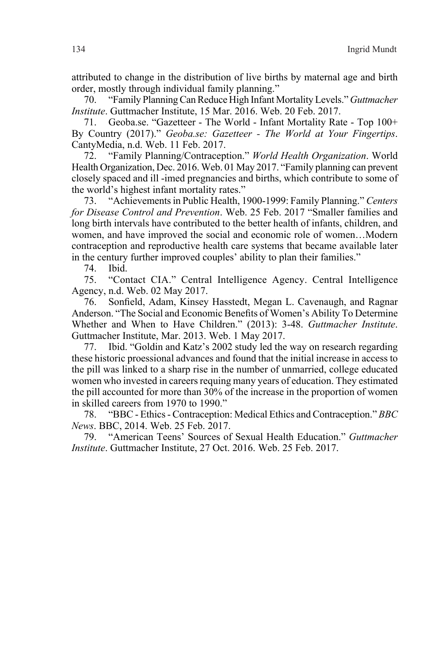attributed to change in the distribution of live births by maternal age and birth order, mostly through individual family planning."

70. "Family Planning Can Reduce High Infant Mortality Levels." *Guttmacher Institute*. Guttmacher Institute, 15 Mar. 2016. Web. 20 Feb. 2017.

71. Geoba.se. "Gazetteer - The World - Infant Mortality Rate - Top 100+ By Country (2017)." *Geoba.se: Gazetteer - The World at Your Fingertips*. CantyMedia, n.d. Web. 11 Feb. 2017.

72. "Family Planning/Contraception." *World Health Organization*. World Health Organization, Dec. 2016. Web. 01 May 2017. "Family planning can prevent closely spaced and ill -imed pregnancies and births, which contribute to some of the world's highest infant mortality rates."

73. "Achievements in Public Health, 1900-1999: Family Planning." *Centers for Disease Control and Prevention*. Web. 25 Feb. 2017 "Smaller families and long birth intervals have contributed to the better health of infants, children, and women, and have improved the social and economic role of women…Modern contraception and reproductive health care systems that became available later in the century further improved couples' ability to plan their families."

74. Ibid.

75. "Contact CIA." Central Intelligence Agency. Central Intelligence Agency, n.d. Web. 02 May 2017.

76. Sonfield, Adam, Kinsey Hasstedt, Megan L. Cavenaugh, and Ragnar Anderson. "The Social and Economic Benefits of Women's Ability To Determine Whether and When to Have Children." (2013): 3-48. *Guttmacher Institute*. Guttmacher Institute, Mar. 2013. Web. 1 May 2017.

77. Ibid. "Goldin and Katz's 2002 study led the way on research regarding these historic proessional advances and found that the initial increase in access to the pill was linked to a sharp rise in the number of unmarried, college educated women who invested in careers requing many years of education. They estimated the pill accounted for more than 30% of the increase in the proportion of women in skilled careers from 1970 to 1990."

78. "BBC - Ethics - Contraception: Medical Ethics and Contraception." *BBC News*. BBC, 2014. Web. 25 Feb. 2017.

79. "American Teens' Sources of Sexual Health Education." *Guttmacher Institute*. Guttmacher Institute, 27 Oct. 2016. Web. 25 Feb. 2017.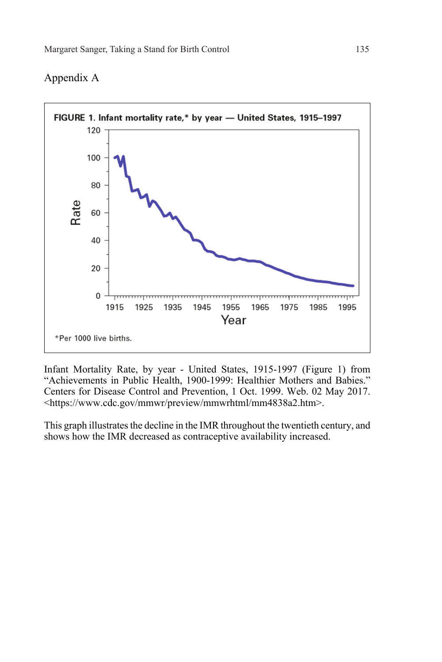## FIGURE 1. Infant mortality rate,\* by year - United States, 1915-1997 120 100 80 Rate 60 40 20 0 mm 1915 1925 1935 1945 1955 1965 1975 1985 1995 Year \*Per 1000 live births.

## Appendix A

Infant Mortality Rate, by year - United States, 1915-1997 (Figure 1) from "Achievements in Public Health, 1900-1999: Healthier Mothers and Babies." Centers for Disease Control and Prevention, 1 Oct. 1999. Web. 02 May 2017. <https://www.cdc.gov/mmwr/preview/mmwrhtml/mm4838a2.htm>.

This graph illustrates the decline in the IMR throughout the twentieth century, and shows how the IMR decreased as contraceptive availability increased.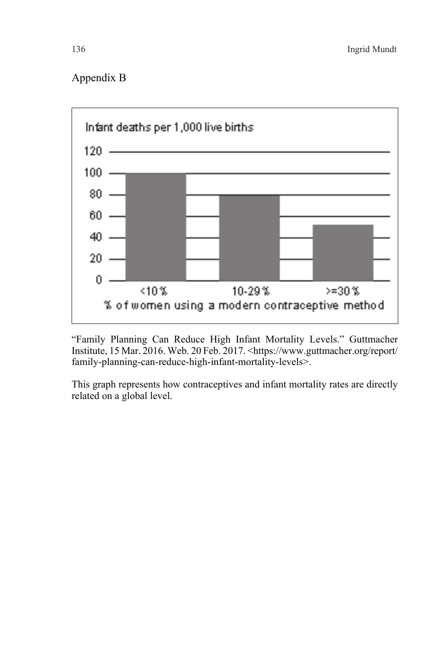## Appendix B



"Family Planning Can Reduce High Infant Mortality Levels." Guttmacher Institute, 15 Mar. 2016. Web. 20 Feb. 2017. <https://www.guttmacher.org/report/ family-planning-can-reduce-high-infant-mortality-levels>.

This graph represents how contraceptives and infant mortality rates are directly related on a global level.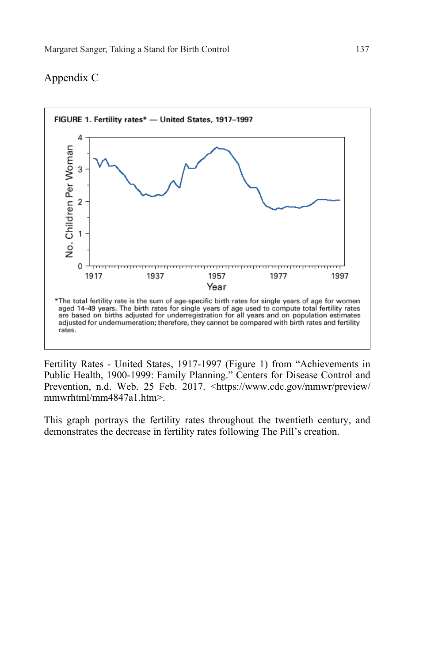## Appendix C



Fertility Rates - United States, 1917-1997 (Figure 1) from "Achievements in Public Health, 1900-1999: Family Planning." Centers for Disease Control and Prevention, n.d. Web. 25 Feb. 2017. <https://www.cdc.gov/mmwr/preview/ mmwrhtml/mm4847a1.htm>.

This graph portrays the fertility rates throughout the twentieth century, and demonstrates the decrease in fertility rates following The Pill's creation.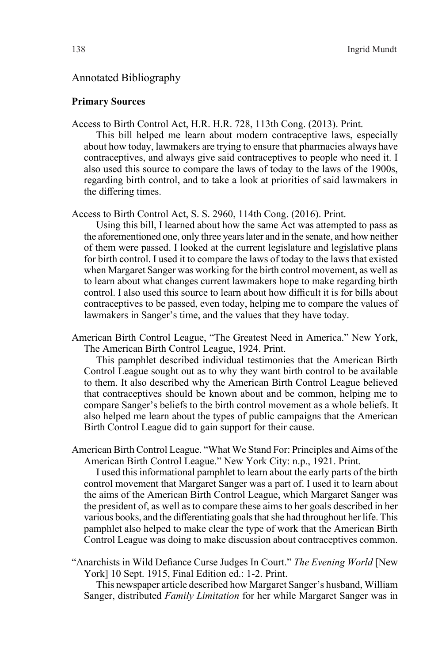## Annotated Bibliography

#### **Primary Sources**

Access to Birth Control Act, H.R. H.R. 728, 113th Cong. (2013). Print.

This bill helped me learn about modern contraceptive laws, especially about how today, lawmakers are trying to ensure that pharmacies always have contraceptives, and always give said contraceptives to people who need it. I also used this source to compare the laws of today to the laws of the 1900s, regarding birth control, and to take a look at priorities of said lawmakers in the differing times.

Access to Birth Control Act, S. S. 2960, 114th Cong. (2016). Print.

Using this bill, I learned about how the same Act was attempted to pass as the aforementioned one, only three years later and in the senate, and how neither of them were passed. I looked at the current legislature and legislative plans for birth control. I used it to compare the laws of today to the laws that existed when Margaret Sanger was working for the birth control movement, as well as to learn about what changes current lawmakers hope to make regarding birth control. I also used this source to learn about how difficult it is for bills about contraceptives to be passed, even today, helping me to compare the values of lawmakers in Sanger's time, and the values that they have today.

American Birth Control League, "The Greatest Need in America." New York, The American Birth Control League, 1924. Print.

This pamphlet described individual testimonies that the American Birth Control League sought out as to why they want birth control to be available to them. It also described why the American Birth Control League believed that contraceptives should be known about and be common, helping me to compare Sanger's beliefs to the birth control movement as a whole beliefs. It also helped me learn about the types of public campaigns that the American Birth Control League did to gain support for their cause.

American Birth Control League. "What We Stand For: Principles and Aims of the American Birth Control League." New York City: n.p., 1921. Print.

I used this informational pamphlet to learn about the early parts of the birth control movement that Margaret Sanger was a part of. I used it to learn about the aims of the American Birth Control League, which Margaret Sanger was the president of, as well as to compare these aims to her goals described in her various books, and the differentiating goals that she had throughout her life. This pamphlet also helped to make clear the type of work that the American Birth Control League was doing to make discussion about contraceptives common.

"Anarchists in Wild Defiance Curse Judges In Court." *The Evening World* [New York] 10 Sept. 1915, Final Edition ed.: 1-2. Print.

This newspaper article described how Margaret Sanger's husband, William Sanger, distributed *Family Limitation* for her while Margaret Sanger was in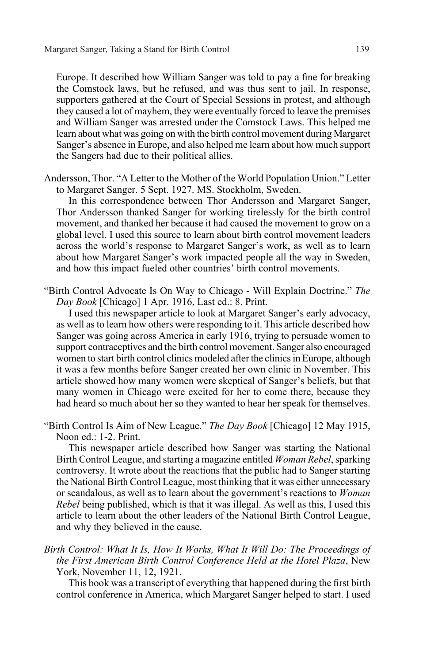Europe. It described how William Sanger was told to pay a fine for breaking the Comstock laws, but he refused, and was thus sent to jail. In response, supporters gathered at the Court of Special Sessions in protest, and although they caused a lot of mayhem, they were eventually forced to leave the premises and William Sanger was arrested under the Comstock Laws. This helped me learn about what was going on with the birth control movement during Margaret Sanger's absence in Europe, and also helped me learn about how much support the Sangers had due to their political allies.

Andersson, Thor. "A Letter to the Mother of the World Population Union." Letter to Margaret Sanger. 5 Sept. 1927. MS. Stockholm, Sweden.

In this correspondence between Thor Andersson and Margaret Sanger, Thor Andersson thanked Sanger for working tirelessly for the birth control movement, and thanked her because it had caused the movement to grow on a global level. I used this source to learn about birth control movement leaders across the world's response to Margaret Sanger's work, as well as to learn about how Margaret Sanger's work impacted people all the way in Sweden, and how this impact fueled other countries' birth control movements.

"Birth Control Advocate Is On Way to Chicago - Will Explain Doctrine." *The Day Book* [Chicago] 1 Apr. 1916, Last ed.: 8. Print.

I used this newspaper article to look at Margaret Sanger's early advocacy, as well as to learn how others were responding to it. This article described how Sanger was going across America in early 1916, trying to persuade women to support contraceptives and the birth control movement. Sanger also encouraged women to start birth control clinics modeled after the clinics in Europe, although it was a few months before Sanger created her own clinic in November. This article showed how many women were skeptical of Sanger's beliefs, but that many women in Chicago were excited for her to come there, because they had heard so much about her so they wanted to hear her speak for themselves.

"Birth Control Is Aim of New League." *The Day Book* [Chicago] 12 May 1915, Noon ed.: 1-2. Print.

This newspaper article described how Sanger was starting the National Birth Control League, and starting a magazine entitled *Woman Rebel*, sparking controversy. It wrote about the reactions that the public had to Sanger starting the National Birth Control League, most thinking that it was either unnecessary or scandalous, as well as to learn about the government's reactions to *Woman Rebel* being published, which is that it was illegal. As well as this, I used this article to learn about the other leaders of the National Birth Control League, and why they believed in the cause.

*Birth Control: What It Is, How It Works, What It Will Do: The Proceedings of the First American Birth Control Conference Held at the Hotel Plaza*, New York, November 11, 12, 1921.

This book was a transcript of everything that happened during the first birth control conference in America, which Margaret Sanger helped to start. I used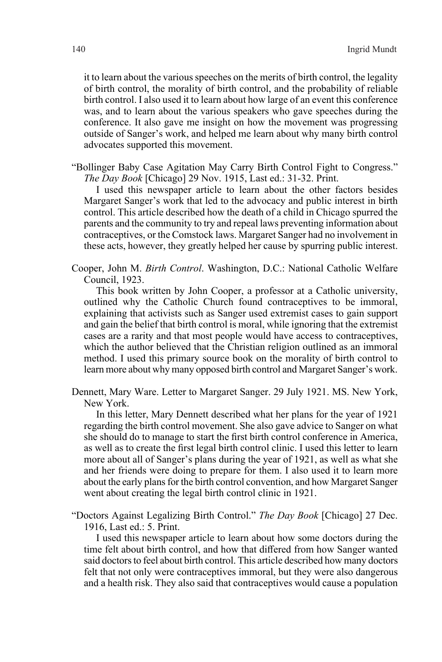it to learn about the various speeches on the merits of birth control, the legality of birth control, the morality of birth control, and the probability of reliable birth control. I also used it to learn about how large of an event this conference was, and to learn about the various speakers who gave speeches during the conference. It also gave me insight on how the movement was progressing outside of Sanger's work, and helped me learn about why many birth control advocates supported this movement.

"Bollinger Baby Case Agitation May Carry Birth Control Fight to Congress." *The Day Book* [Chicago] 29 Nov. 1915, Last ed.: 31-32. Print.

I used this newspaper article to learn about the other factors besides Margaret Sanger's work that led to the advocacy and public interest in birth control. This article described how the death of a child in Chicago spurred the parents and the community to try and repeal laws preventing information about contraceptives, or the Comstock laws. Margaret Sanger had no involvement in these acts, however, they greatly helped her cause by spurring public interest.

Cooper, John M. *Birth Control*. Washington, D.C.: National Catholic Welfare Council, 1923.

This book written by John Cooper, a professor at a Catholic university, outlined why the Catholic Church found contraceptives to be immoral, explaining that activists such as Sanger used extremist cases to gain support and gain the belief that birth control is moral, while ignoring that the extremist cases are a rarity and that most people would have access to contraceptives, which the author believed that the Christian religion outlined as an immoral method. I used this primary source book on the morality of birth control to learn more about why many opposed birth control and Margaret Sanger's work.

Dennett, Mary Ware. Letter to Margaret Sanger. 29 July 1921. MS. New York, New York.

In this letter, Mary Dennett described what her plans for the year of 1921 regarding the birth control movement. She also gave advice to Sanger on what she should do to manage to start the first birth control conference in America, as well as to create the first legal birth control clinic. I used this letter to learn more about all of Sanger's plans during the year of 1921, as well as what she and her friends were doing to prepare for them. I also used it to learn more about the early plans for the birth control convention, and how Margaret Sanger went about creating the legal birth control clinic in 1921.

"Doctors Against Legalizing Birth Control." *The Day Book* [Chicago] 27 Dec. 1916, Last ed.: 5. Print.

I used this newspaper article to learn about how some doctors during the time felt about birth control, and how that differed from how Sanger wanted said doctors to feel about birth control. This article described how many doctors felt that not only were contraceptives immoral, but they were also dangerous and a health risk. They also said that contraceptives would cause a population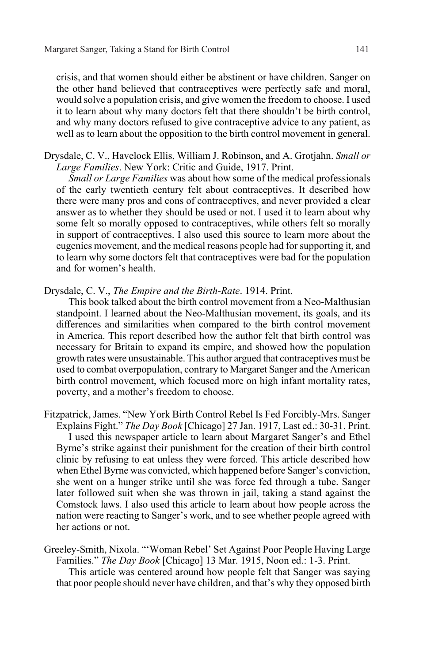crisis, and that women should either be abstinent or have children. Sanger on the other hand believed that contraceptives were perfectly safe and moral, would solve a population crisis, and give women the freedom to choose. I used it to learn about why many doctors felt that there shouldn't be birth control, and why many doctors refused to give contraceptive advice to any patient, as well as to learn about the opposition to the birth control movement in general.

Drysdale, C. V., Havelock Ellis, William J. Robinson, and A. Grotjahn. *Small or Large Families*. New York: Critic and Guide, 1917. Print.

*Small or Large Families* was about how some of the medical professionals of the early twentieth century felt about contraceptives. It described how there were many pros and cons of contraceptives, and never provided a clear answer as to whether they should be used or not. I used it to learn about why some felt so morally opposed to contraceptives, while others felt so morally in support of contraceptives. I also used this source to learn more about the eugenics movement, and the medical reasons people had for supporting it, and to learn why some doctors felt that contraceptives were bad for the population and for women's health.

Drysdale, C. V., *The Empire and the Birth-Rate*. 1914. Print.

This book talked about the birth control movement from a Neo-Malthusian standpoint. I learned about the Neo-Malthusian movement, its goals, and its differences and similarities when compared to the birth control movement in America. This report described how the author felt that birth control was necessary for Britain to expand its empire, and showed how the population growth rates were unsustainable. This author argued that contraceptives must be used to combat overpopulation, contrary to Margaret Sanger and the American birth control movement, which focused more on high infant mortality rates, poverty, and a mother's freedom to choose.

Fitzpatrick, James. "New York Birth Control Rebel Is Fed Forcibly-Mrs. Sanger Explains Fight." *The Day Book* [Chicago] 27 Jan. 1917, Last ed.: 30-31. Print. I used this newspaper article to learn about Margaret Sanger's and Ethel Byrne's strike against their punishment for the creation of their birth control clinic by refusing to eat unless they were forced. This article described how when Ethel Byrne was convicted, which happened before Sanger's conviction, she went on a hunger strike until she was force fed through a tube. Sanger later followed suit when she was thrown in jail, taking a stand against the Comstock laws. I also used this article to learn about how people across the nation were reacting to Sanger's work, and to see whether people agreed with her actions or not.

Greeley-Smith, Nixola. "'Woman Rebel' Set Against Poor People Having Large Families." *The Day Book* [Chicago] 13 Mar. 1915, Noon ed.: 1-3. Print.

This article was centered around how people felt that Sanger was saying that poor people should never have children, and that's why they opposed birth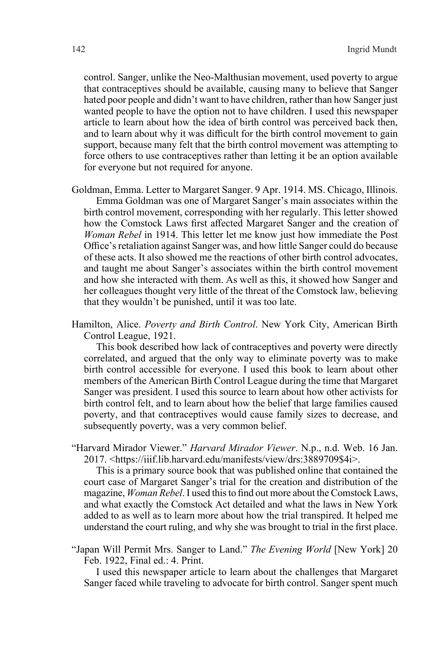control. Sanger, unlike the Neo-Malthusian movement, used poverty to argue that contraceptives should be available, causing many to believe that Sanger hated poor people and didn't want to have children, rather than how Sanger just wanted people to have the option not to have children. I used this newspaper article to learn about how the idea of birth control was perceived back then, and to learn about why it was difficult for the birth control movement to gain support, because many felt that the birth control movement was attempting to force others to use contraceptives rather than letting it be an option available for everyone but not required for anyone.

- Goldman, Emma. Letter to Margaret Sanger. 9 Apr. 1914. MS. Chicago, Illinois. Emma Goldman was one of Margaret Sanger's main associates within the birth control movement, corresponding with her regularly. This letter showed how the Comstock Laws first affected Margaret Sanger and the creation of *Woman Rebel* in 1914. This letter let me know just how immediate the Post Office's retaliation against Sanger was, and how little Sanger could do because of these acts. It also showed me the reactions of other birth control advocates, and taught me about Sanger's associates within the birth control movement and how she interacted with them. As well as this, it showed how Sanger and her colleagues thought very little of the threat of the Comstock law, believing that they wouldn't be punished, until it was too late.
- Hamilton, Alice. *Poverty and Birth Control*. New York City, American Birth Control League, 1921.

This book described how lack of contraceptives and poverty were directly correlated, and argued that the only way to eliminate poverty was to make birth control accessible for everyone. I used this book to learn about other members of the American Birth Control League during the time that Margaret Sanger was president. I used this source to learn about how other activists for birth control felt, and to learn about how the belief that large families caused poverty, and that contraceptives would cause family sizes to decrease, and subsequently poverty, was a very common belief.

"Harvard Mirador Viewer." *Harvard Mirador Viewer*. N.p., n.d. Web. 16 Jan. 2017. <https://iiif.lib.harvard.edu/manifests/view/drs:3889709\$4i>.

This is a primary source book that was published online that contained the court case of Margaret Sanger's trial for the creation and distribution of the magazine, *Woman Rebel*. I used this to find out more about the Comstock Laws, and what exactly the Comstock Act detailed and what the laws in New York added to as well as to learn more about how the trial transpired. It helped me understand the court ruling, and why she was brought to trial in the first place.

"Japan Will Permit Mrs. Sanger to Land." *The Evening World* [New York] 20 Feb. 1922, Final ed.: 4. Print.

I used this newspaper article to learn about the challenges that Margaret Sanger faced while traveling to advocate for birth control. Sanger spent much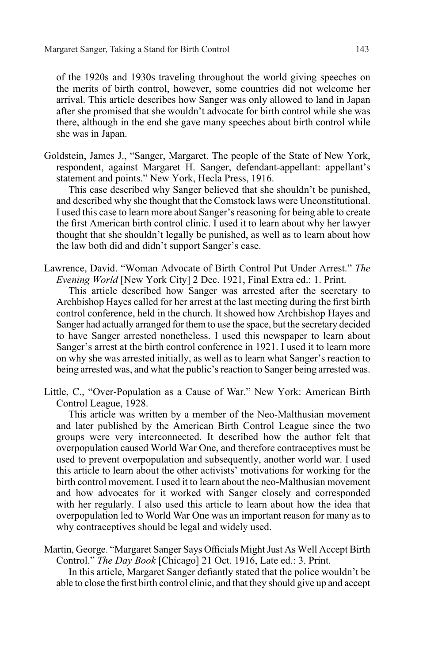of the 1920s and 1930s traveling throughout the world giving speeches on the merits of birth control, however, some countries did not welcome her arrival. This article describes how Sanger was only allowed to land in Japan after she promised that she wouldn't advocate for birth control while she was there, although in the end she gave many speeches about birth control while she was in Japan.

Goldstein, James J., "Sanger, Margaret. The people of the State of New York, respondent, against Margaret H. Sanger, defendant-appellant: appellant's statement and points." New York, Hecla Press, 1916.

This case described why Sanger believed that she shouldn't be punished, and described why she thought that the Comstock laws were Unconstitutional. I used this case to learn more about Sanger's reasoning for being able to create the first American birth control clinic. I used it to learn about why her lawyer thought that she shouldn't legally be punished, as well as to learn about how the law both did and didn't support Sanger's case.

Lawrence, David. "Woman Advocate of Birth Control Put Under Arrest." *The Evening World* [New York City] 2 Dec. 1921, Final Extra ed.: 1. Print.

This article described how Sanger was arrested after the secretary to Archbishop Hayes called for her arrest at the last meeting during the first birth control conference, held in the church. It showed how Archbishop Hayes and Sanger had actually arranged for them to use the space, but the secretary decided to have Sanger arrested nonetheless. I used this newspaper to learn about Sanger's arrest at the birth control conference in 1921. I used it to learn more on why she was arrested initially, as well as to learn what Sanger's reaction to being arrested was, and what the public's reaction to Sanger being arrested was.

Little, C., "Over-Population as a Cause of War." New York: American Birth Control League, 1928.

This article was written by a member of the Neo-Malthusian movement and later published by the American Birth Control League since the two groups were very interconnected. It described how the author felt that overpopulation caused World War One, and therefore contraceptives must be used to prevent overpopulation and subsequently, another world war. I used this article to learn about the other activists' motivations for working for the birth control movement. I used it to learn about the neo-Malthusian movement and how advocates for it worked with Sanger closely and corresponded with her regularly. I also used this article to learn about how the idea that overpopulation led to World War One was an important reason for many as to why contraceptives should be legal and widely used.

Martin, George. "Margaret Sanger Says Officials Might Just As Well Accept Birth Control." *The Day Book* [Chicago] 21 Oct. 1916, Late ed.: 3. Print.

In this article, Margaret Sanger defiantly stated that the police wouldn't be able to close the first birth control clinic, and that they should give up and accept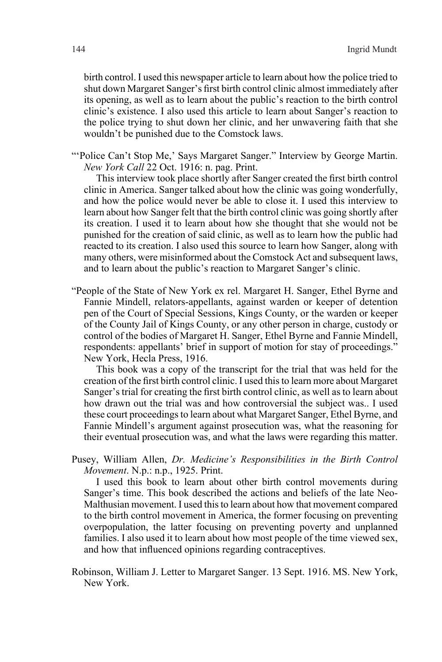birth control. I used this newspaper article to learn about how the police tried to shut down Margaret Sanger's first birth control clinic almost immediately after its opening, as well as to learn about the public's reaction to the birth control clinic's existence. I also used this article to learn about Sanger's reaction to the police trying to shut down her clinic, and her unwavering faith that she wouldn't be punished due to the Comstock laws.

"'Police Can't Stop Me,' Says Margaret Sanger." Interview by George Martin. *New York Call* 22 Oct. 1916: n. pag. Print.

This interview took place shortly after Sanger created the first birth control clinic in America. Sanger talked about how the clinic was going wonderfully, and how the police would never be able to close it. I used this interview to learn about how Sanger felt that the birth control clinic was going shortly after its creation. I used it to learn about how she thought that she would not be punished for the creation of said clinic, as well as to learn how the public had reacted to its creation. I also used this source to learn how Sanger, along with many others, were misinformed about the Comstock Act and subsequent laws, and to learn about the public's reaction to Margaret Sanger's clinic.

"People of the State of New York ex rel. Margaret H. Sanger, Ethel Byrne and Fannie Mindell, relators-appellants, against warden or keeper of detention pen of the Court of Special Sessions, Kings County, or the warden or keeper of the County Jail of Kings County, or any other person in charge, custody or control of the bodies of Margaret H. Sanger, Ethel Byrne and Fannie Mindell, respondents: appellants' brief in support of motion for stay of proceedings." New York, Hecla Press, 1916.

This book was a copy of the transcript for the trial that was held for the creation of the first birth control clinic. I used this to learn more about Margaret Sanger's trial for creating the first birth control clinic, as well as to learn about how drawn out the trial was and how controversial the subject was.. I used these court proceedings to learn about what Margaret Sanger, Ethel Byrne, and Fannie Mindell's argument against prosecution was, what the reasoning for their eventual prosecution was, and what the laws were regarding this matter.

Pusey, William Allen, *Dr. Medicine's Responsibilities in the Birth Control Movement*. N.p.: n.p., 1925. Print.

I used this book to learn about other birth control movements during Sanger's time. This book described the actions and beliefs of the late Neo-Malthusian movement. I used this to learn about how that movement compared to the birth control movement in America, the former focusing on preventing overpopulation, the latter focusing on preventing poverty and unplanned families. I also used it to learn about how most people of the time viewed sex, and how that influenced opinions regarding contraceptives.

Robinson, William J. Letter to Margaret Sanger. 13 Sept. 1916. MS. New York, New York.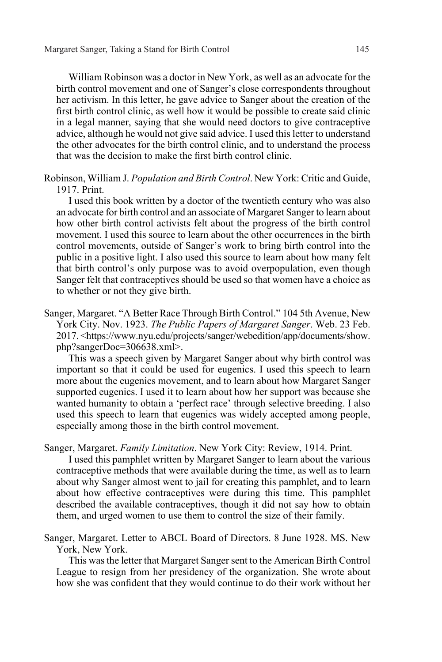William Robinson was a doctor in New York, as well as an advocate for the birth control movement and one of Sanger's close correspondents throughout her activism. In this letter, he gave advice to Sanger about the creation of the first birth control clinic, as well how it would be possible to create said clinic in a legal manner, saying that she would need doctors to give contraceptive advice, although he would not give said advice. I used this letter to understand the other advocates for the birth control clinic, and to understand the process that was the decision to make the first birth control clinic.

Robinson, William J. *Population and Birth Control*. New York: Critic and Guide, 1917. Print.

I used this book written by a doctor of the twentieth century who was also an advocate for birth control and an associate of Margaret Sanger to learn about how other birth control activists felt about the progress of the birth control movement. I used this source to learn about the other occurrences in the birth control movements, outside of Sanger's work to bring birth control into the public in a positive light. I also used this source to learn about how many felt that birth control's only purpose was to avoid overpopulation, even though Sanger felt that contraceptives should be used so that women have a choice as to whether or not they give birth.

Sanger, Margaret. "A Better Race Through Birth Control." 104 5th Avenue, New York City. Nov. 1923. *The Public Papers of Margaret Sanger*. Web. 23 Feb. 2017. <https://www.nyu.edu/projects/sanger/webedition/app/documents/show. php?sangerDoc=306638.xml>.

This was a speech given by Margaret Sanger about why birth control was important so that it could be used for eugenics. I used this speech to learn more about the eugenics movement, and to learn about how Margaret Sanger supported eugenics. I used it to learn about how her support was because she wanted humanity to obtain a 'perfect race' through selective breeding. I also used this speech to learn that eugenics was widely accepted among people, especially among those in the birth control movement.

Sanger, Margaret. *Family Limitation*. New York City: Review, 1914. Print.

I used this pamphlet written by Margaret Sanger to learn about the various contraceptive methods that were available during the time, as well as to learn about why Sanger almost went to jail for creating this pamphlet, and to learn about how effective contraceptives were during this time. This pamphlet described the available contraceptives, though it did not say how to obtain them, and urged women to use them to control the size of their family.

Sanger, Margaret. Letter to ABCL Board of Directors. 8 June 1928. MS. New York, New York.

This was the letter that Margaret Sanger sent to the American Birth Control League to resign from her presidency of the organization. She wrote about how she was confident that they would continue to do their work without her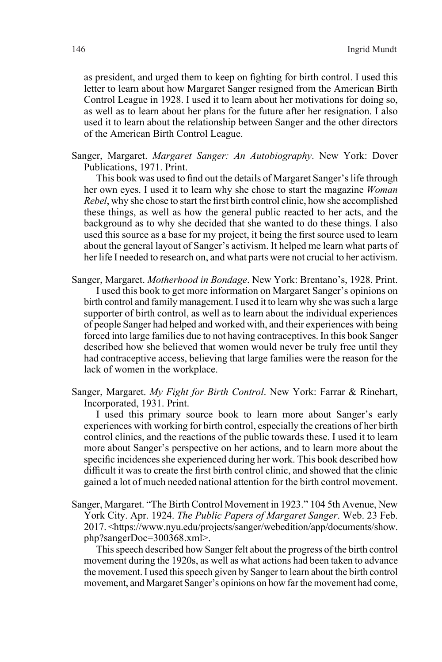as president, and urged them to keep on fighting for birth control. I used this letter to learn about how Margaret Sanger resigned from the American Birth Control League in 1928. I used it to learn about her motivations for doing so, as well as to learn about her plans for the future after her resignation. I also used it to learn about the relationship between Sanger and the other directors of the American Birth Control League.

Sanger, Margaret. *Margaret Sanger: An Autobiography*. New York: Dover Publications, 1971. Print.

This book was used to find out the details of Margaret Sanger's life through her own eyes. I used it to learn why she chose to start the magazine *Woman Rebel*, why she chose to start the first birth control clinic, how she accomplished these things, as well as how the general public reacted to her acts, and the background as to why she decided that she wanted to do these things. I also used this source as a base for my project, it being the first source used to learn about the general layout of Sanger's activism. It helped me learn what parts of her life I needed to research on, and what parts were not crucial to her activism.

- Sanger, Margaret. *Motherhood in Bondage*. New York: Brentano's, 1928. Print. I used this book to get more information on Margaret Sanger's opinions on birth control and family management. I used it to learn why she was such a large supporter of birth control, as well as to learn about the individual experiences of people Sanger had helped and worked with, and their experiences with being forced into large families due to not having contraceptives. In this book Sanger described how she believed that women would never be truly free until they had contraceptive access, believing that large families were the reason for the lack of women in the workplace.
- Sanger, Margaret. *My Fight for Birth Control*. New York: Farrar & Rinehart, Incorporated, 1931. Print.

I used this primary source book to learn more about Sanger's early experiences with working for birth control, especially the creations of her birth control clinics, and the reactions of the public towards these. I used it to learn more about Sanger's perspective on her actions, and to learn more about the specific incidences she experienced during her work. This book described how difficult it was to create the first birth control clinic, and showed that the clinic gained a lot of much needed national attention for the birth control movement.

Sanger, Margaret. "The Birth Control Movement in 1923." 104 5th Avenue, New York City. Apr. 1924. *The Public Papers of Margaret Sanger*. Web. 23 Feb. 2017. <https://www.nyu.edu/projects/sanger/webedition/app/documents/show. php?sangerDoc=300368.xml>.

This speech described how Sanger felt about the progress of the birth control movement during the 1920s, as well as what actions had been taken to advance the movement. I used this speech given by Sanger to learn about the birth control movement, and Margaret Sanger's opinions on how far the movement had come,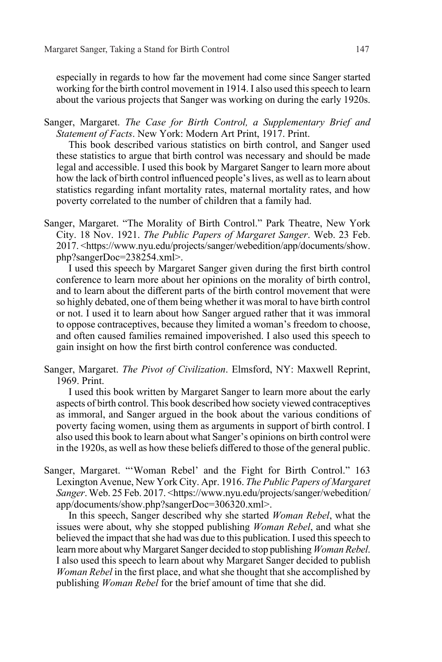especially in regards to how far the movement had come since Sanger started working for the birth control movement in 1914. I also used this speech to learn about the various projects that Sanger was working on during the early 1920s.

Sanger, Margaret. *The Case for Birth Control, a Supplementary Brief and Statement of Facts*. New York: Modern Art Print, 1917. Print.

This book described various statistics on birth control, and Sanger used these statistics to argue that birth control was necessary and should be made legal and accessible. I used this book by Margaret Sanger to learn more about how the lack of birth control influenced people's lives, as well as to learn about statistics regarding infant mortality rates, maternal mortality rates, and how poverty correlated to the number of children that a family had.

Sanger, Margaret. "The Morality of Birth Control." Park Theatre, New York City. 18 Nov. 1921. *The Public Papers of Margaret Sanger*. Web. 23 Feb. 2017. <https://www.nyu.edu/projects/sanger/webedition/app/documents/show. php?sangerDoc=238254.xml>.

I used this speech by Margaret Sanger given during the first birth control conference to learn more about her opinions on the morality of birth control, and to learn about the different parts of the birth control movement that were so highly debated, one of them being whether it was moral to have birth control or not. I used it to learn about how Sanger argued rather that it was immoral to oppose contraceptives, because they limited a woman's freedom to choose, and often caused families remained impoverished. I also used this speech to gain insight on how the first birth control conference was conducted.

Sanger, Margaret. *The Pivot of Civilization*. Elmsford, NY: Maxwell Reprint, 1969. Print.

I used this book written by Margaret Sanger to learn more about the early aspects of birth control. This book described how society viewed contraceptives as immoral, and Sanger argued in the book about the various conditions of poverty facing women, using them as arguments in support of birth control. I also used this book to learn about what Sanger's opinions on birth control were in the 1920s, as well as how these beliefs differed to those of the general public.

Sanger, Margaret. "'Woman Rebel' and the Fight for Birth Control." 163 Lexington Avenue, New York City. Apr. 1916. *The Public Papers of Margaret Sanger*. Web. 25 Feb. 2017. <https://www.nyu.edu/projects/sanger/webedition/ app/documents/show.php?sangerDoc=306320.xml>.

In this speech, Sanger described why she started *Woman Rebel*, what the issues were about, why she stopped publishing *Woman Rebel*, and what she believed the impact that she had was due to this publication. I used this speech to learn more about why Margaret Sanger decided to stop publishing *Woman Rebel*. I also used this speech to learn about why Margaret Sanger decided to publish *Woman Rebel* in the first place, and what she thought that she accomplished by publishing *Woman Rebel* for the brief amount of time that she did.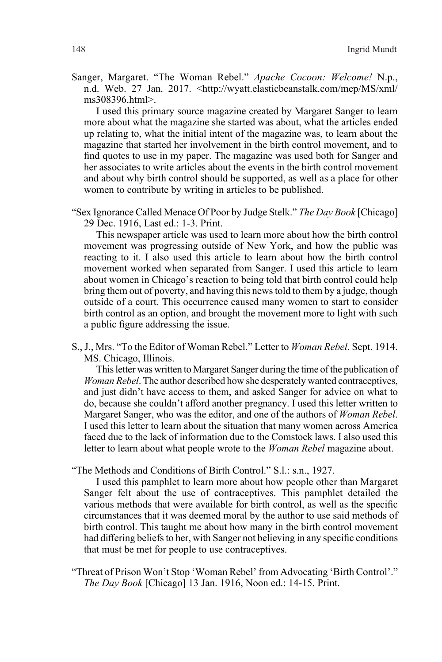Sanger, Margaret. "The Woman Rebel." *Apache Cocoon: Welcome!* N.p., n.d. Web. 27 Jan. 2017. <http://wyatt.elasticbeanstalk.com/mep/MS/xml/ ms308396.html>.

I used this primary source magazine created by Margaret Sanger to learn more about what the magazine she started was about, what the articles ended up relating to, what the initial intent of the magazine was, to learn about the magazine that started her involvement in the birth control movement, and to find quotes to use in my paper. The magazine was used both for Sanger and her associates to write articles about the events in the birth control movement and about why birth control should be supported, as well as a place for other women to contribute by writing in articles to be published.

"Sex Ignorance Called Menace Of Poor by Judge Stelk." *The Day Book* [Chicago] 29 Dec. 1916, Last ed.: 1-3. Print.

This newspaper article was used to learn more about how the birth control movement was progressing outside of New York, and how the public was reacting to it. I also used this article to learn about how the birth control movement worked when separated from Sanger. I used this article to learn about women in Chicago's reaction to being told that birth control could help bring them out of poverty, and having this news told to them by a judge, though outside of a court. This occurrence caused many women to start to consider birth control as an option, and brought the movement more to light with such a public figure addressing the issue.

S., J., Mrs. "To the Editor of Woman Rebel." Letter to *Woman Rebel*. Sept. 1914. MS. Chicago, Illinois.

This letter was written to Margaret Sanger during the time of the publication of *Woman Rebel*. The author described how she desperately wanted contraceptives, and just didn't have access to them, and asked Sanger for advice on what to do, because she couldn't afford another pregnancy. I used this letter written to Margaret Sanger, who was the editor, and one of the authors of *Woman Rebel*. I used this letter to learn about the situation that many women across America faced due to the lack of information due to the Comstock laws. I also used this letter to learn about what people wrote to the *Woman Rebel* magazine about.

"The Methods and Conditions of Birth Control." S.l.: s.n., 1927.

I used this pamphlet to learn more about how people other than Margaret Sanger felt about the use of contraceptives. This pamphlet detailed the various methods that were available for birth control, as well as the specific circumstances that it was deemed moral by the author to use said methods of birth control. This taught me about how many in the birth control movement had differing beliefs to her, with Sanger not believing in any specific conditions that must be met for people to use contraceptives.

"Threat of Prison Won't Stop 'Woman Rebel' from Advocating 'Birth Control'." *The Day Book* [Chicago] 13 Jan. 1916, Noon ed.: 14-15. Print.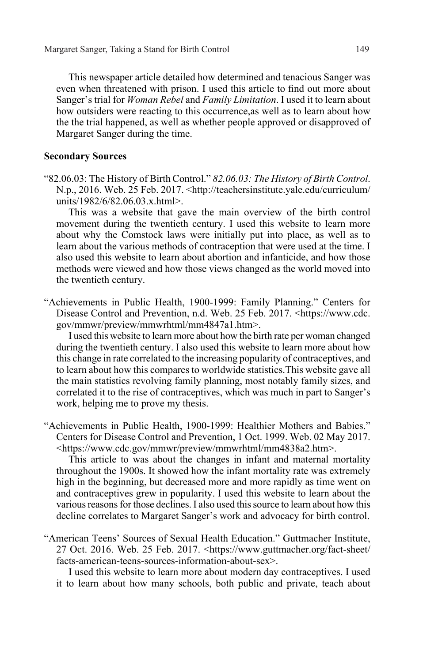This newspaper article detailed how determined and tenacious Sanger was even when threatened with prison. I used this article to find out more about Sanger's trial for *Woman Rebel* and *Family Limitation*. I used it to learn about how outsiders were reacting to this occurrence,as well as to learn about how the the trial happened, as well as whether people approved or disapproved of Margaret Sanger during the time.

#### **Secondary Sources**

"82.06.03: The History of Birth Control." *82.06.03: The History of Birth Control*. N.p., 2016. Web. 25 Feb. 2017. <http://teachersinstitute.yale.edu/curriculum/ units/1982/6/82.06.03.x.html>.

This was a website that gave the main overview of the birth control movement during the twentieth century. I used this website to learn more about why the Comstock laws were initially put into place, as well as to learn about the various methods of contraception that were used at the time. I also used this website to learn about abortion and infanticide, and how those methods were viewed and how those views changed as the world moved into the twentieth century.

"Achievements in Public Health, 1900-1999: Family Planning." Centers for Disease Control and Prevention, n.d. Web. 25 Feb. 2017. <https://www.cdc. gov/mmwr/preview/mmwrhtml/mm4847a1.htm>.

I used this website to learn more about how the birth rate per woman changed during the twentieth century. I also used this website to learn more about how this change in rate correlated to the increasing popularity of contraceptives, and to learn about how this compares to worldwide statistics.This website gave all the main statistics revolving family planning, most notably family sizes, and correlated it to the rise of contraceptives, which was much in part to Sanger's work, helping me to prove my thesis.

"Achievements in Public Health, 1900-1999: Healthier Mothers and Babies." Centers for Disease Control and Prevention, 1 Oct. 1999. Web. 02 May 2017. <https://www.cdc.gov/mmwr/preview/mmwrhtml/mm4838a2.htm>.

This article to was about the changes in infant and maternal mortality throughout the 1900s. It showed how the infant mortality rate was extremely high in the beginning, but decreased more and more rapidly as time went on and contraceptives grew in popularity. I used this website to learn about the various reasons for those declines. I also used this source to learn about how this decline correlates to Margaret Sanger's work and advocacy for birth control.

"American Teens' Sources of Sexual Health Education." Guttmacher Institute, 27 Oct. 2016. Web. 25 Feb. 2017. <https://www.guttmacher.org/fact-sheet/ facts-american-teens-sources-information-about-sex>.

I used this website to learn more about modern day contraceptives. I used it to learn about how many schools, both public and private, teach about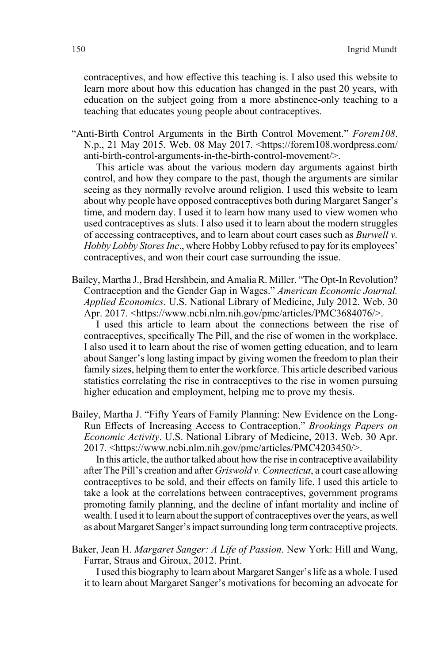contraceptives, and how effective this teaching is. I also used this website to learn more about how this education has changed in the past 20 years, with education on the subject going from a more abstinence-only teaching to a teaching that educates young people about contraceptives.

"Anti-Birth Control Arguments in the Birth Control Movement." *Forem108*. N.p., 21 May 2015. Web. 08 May 2017. <https://forem108.wordpress.com/ anti-birth-control-arguments-in-the-birth-control-movement/>.

This article was about the various modern day arguments against birth control, and how they compare to the past, though the arguments are similar seeing as they normally revolve around religion. I used this website to learn about why people have opposed contraceptives both during Margaret Sanger's time, and modern day. I used it to learn how many used to view women who used contraceptives as sluts. I also used it to learn about the modern struggles of accessing contraceptives, and to learn about court cases such as *Burwell v. Hobby Lobby Stores Inc*., where Hobby Lobby refused to pay for its employees' contraceptives, and won their court case surrounding the issue.

Bailey, Martha J., Brad Hershbein, and Amalia R. Miller. "The Opt-In Revolution? Contraception and the Gender Gap in Wages." *American Economic Journal. Applied Economics*. U.S. National Library of Medicine, July 2012. Web. 30 Apr. 2017. <https://www.ncbi.nlm.nih.gov/pmc/articles/PMC3684076/>.

I used this article to learn about the connections between the rise of contraceptives, specifically The Pill, and the rise of women in the workplace. I also used it to learn about the rise of women getting education, and to learn about Sanger's long lasting impact by giving women the freedom to plan their family sizes, helping them to enter the workforce. This article described various statistics correlating the rise in contraceptives to the rise in women pursuing higher education and employment, helping me to prove my thesis.

Bailey, Martha J. "Fifty Years of Family Planning: New Evidence on the Long-Run Effects of Increasing Access to Contraception." *Brookings Papers on Economic Activity*. U.S. National Library of Medicine, 2013. Web. 30 Apr. 2017. <https://www.ncbi.nlm.nih.gov/pmc/articles/PMC4203450/>.

In this article, the author talked about how the rise in contraceptive availability after The Pill's creation and after *Griswold v. Connecticut*, a court case allowing contraceptives to be sold, and their effects on family life. I used this article to take a look at the correlations between contraceptives, government programs promoting family planning, and the decline of infant mortality and incline of wealth. I used it to learn about the support of contraceptives over the years, as well as about Margaret Sanger's impact surrounding long term contraceptive projects.

Baker, Jean H. *Margaret Sanger: A Life of Passion*. New York: Hill and Wang, Farrar, Straus and Giroux, 2012. Print.

I used this biography to learn about Margaret Sanger's life as a whole. I used it to learn about Margaret Sanger's motivations for becoming an advocate for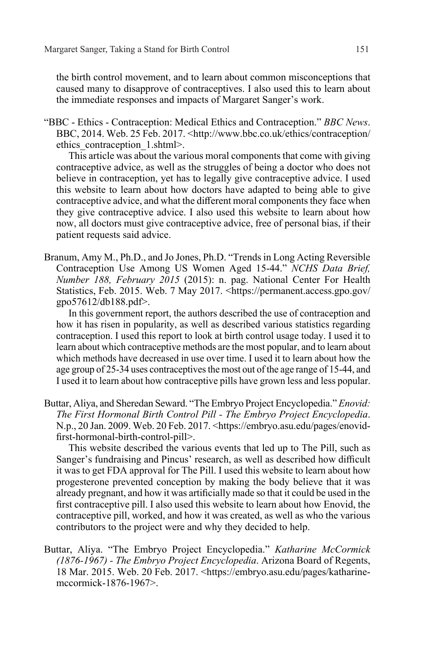the birth control movement, and to learn about common misconceptions that caused many to disapprove of contraceptives. I also used this to learn about the immediate responses and impacts of Margaret Sanger's work.

"BBC - Ethics - Contraception: Medical Ethics and Contraception." *BBC News*. BBC, 2014. Web. 25 Feb. 2017. <http://www.bbc.co.uk/ethics/contraception/ ethics\_contraception\_1.shtml>.

This article was about the various moral components that come with giving contraceptive advice, as well as the struggles of being a doctor who does not believe in contraception, yet has to legally give contraceptive advice. I used this website to learn about how doctors have adapted to being able to give contraceptive advice, and what the different moral components they face when they give contraceptive advice. I also used this website to learn about how now, all doctors must give contraceptive advice, free of personal bias, if their patient requests said advice.

Branum, Amy M., Ph.D., and Jo Jones, Ph.D. "Trends in Long Acting Reversible Contraception Use Among US Women Aged 15-44." *NCHS Data Brief, Number 188, February 2015* (2015): n. pag. National Center For Health Statistics, Feb. 2015. Web. 7 May 2017. <https://permanent.access.gpo.gov/ gpo57612/db188.pdf>.

In this government report, the authors described the use of contraception and how it has risen in popularity, as well as described various statistics regarding contraception. I used this report to look at birth control usage today. I used it to learn about which contraceptive methods are the most popular, and to learn about which methods have decreased in use over time. I used it to learn about how the age group of 25-34 uses contraceptives the most out of the age range of 15-44, and I used it to learn about how contraceptive pills have grown less and less popular.

Buttar, Aliya, and Sheredan Seward. "The Embryo Project Encyclopedia." *Enovid: The First Hormonal Birth Control Pill - The Embryo Project Encyclopedia*. N.p., 20 Jan. 2009. Web. 20 Feb. 2017. <https://embryo.asu.edu/pages/enovidfirst-hormonal-birth-control-pill>.

This website described the various events that led up to The Pill, such as Sanger's fundraising and Pincus' research, as well as described how difficult it was to get FDA approval for The Pill. I used this website to learn about how progesterone prevented conception by making the body believe that it was already pregnant, and how it was artificially made so that it could be used in the first contraceptive pill. I also used this website to learn about how Enovid, the contraceptive pill, worked, and how it was created, as well as who the various contributors to the project were and why they decided to help.

Buttar, Aliya. "The Embryo Project Encyclopedia." *Katharine McCormick (1876-1967) - The Embryo Project Encyclopedia*. Arizona Board of Regents, 18 Mar. 2015. Web. 20 Feb. 2017. <https://embryo.asu.edu/pages/katharinemccormick-1876-1967>.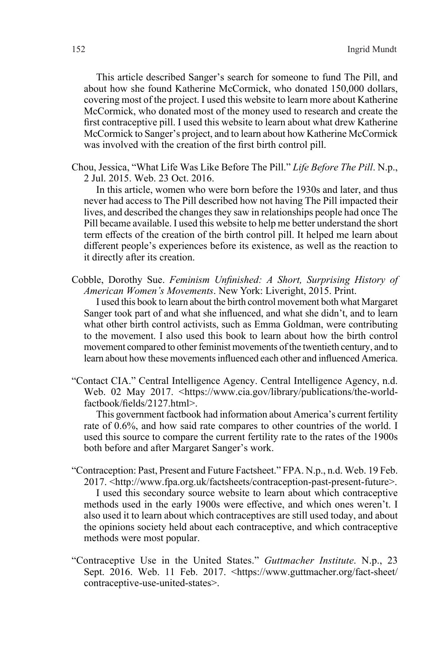This article described Sanger's search for someone to fund The Pill, and about how she found Katherine McCormick, who donated 150,000 dollars, covering most of the project. I used this website to learn more about Katherine McCormick, who donated most of the money used to research and create the first contraceptive pill. I used this website to learn about what drew Katherine McCormick to Sanger's project, and to learn about how Katherine McCormick was involved with the creation of the first birth control pill.

Chou, Jessica, "What Life Was Like Before The Pill." *Life Before The Pill*. N.p., 2 Jul. 2015. Web. 23 Oct. 2016.

In this article, women who were born before the 1930s and later, and thus never had access to The Pill described how not having The Pill impacted their lives, and described the changes they saw in relationships people had once The Pill became available. I used this website to help me better understand the short term effects of the creation of the birth control pill. It helped me learn about different people's experiences before its existence, as well as the reaction to it directly after its creation.

Cobble, Dorothy Sue. *Feminism Unfinished: A Short, Surprising History of American Women's Movements*. New York: Liveright, 2015. Print.

I used this book to learn about the birth control movement both what Margaret Sanger took part of and what she influenced, and what she didn't, and to learn what other birth control activists, such as Emma Goldman, were contributing to the movement. I also used this book to learn about how the birth control movement compared to other feminist movements of the twentieth century, and to learn about how these movements influenced each other and influenced America.

"Contact CIA." Central Intelligence Agency. Central Intelligence Agency, n.d. Web. 02 May 2017. <https://www.cia.gov/library/publications/the-worldfactbook/fields/2127.html>.

This government factbook had information about America's current fertility rate of 0.6%, and how said rate compares to other countries of the world. I used this source to compare the current fertility rate to the rates of the 1900s both before and after Margaret Sanger's work.

- "Contraception: Past, Present and Future Factsheet." FPA. N.p., n.d. Web. 19 Feb. 2017. <http://www.fpa.org.uk/factsheets/contraception-past-present-future>. I used this secondary source website to learn about which contraceptive methods used in the early 1900s were effective, and which ones weren't. I also used it to learn about which contraceptives are still used today, and about the opinions society held about each contraceptive, and which contraceptive methods were most popular.
- "Contraceptive Use in the United States." *Guttmacher Institute*. N.p., 23 Sept. 2016. Web. 11 Feb. 2017. <https://www.guttmacher.org/fact-sheet/ contraceptive-use-united-states>.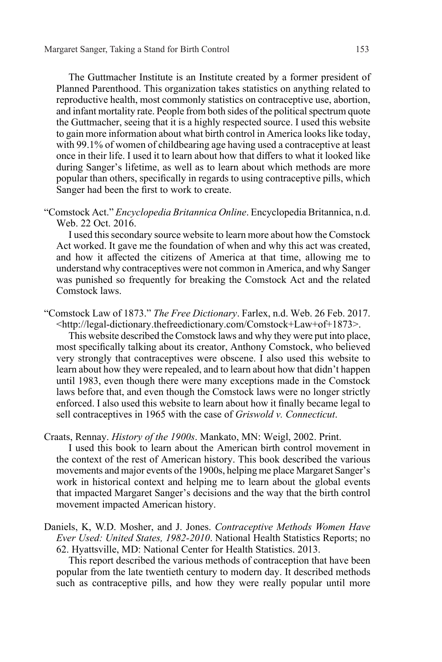The Guttmacher Institute is an Institute created by a former president of Planned Parenthood. This organization takes statistics on anything related to reproductive health, most commonly statistics on contraceptive use, abortion, and infant mortality rate. People from both sides of the political spectrum quote the Guttmacher, seeing that it is a highly respected source. I used this website to gain more information about what birth control in America looks like today, with 99.1% of women of childbearing age having used a contraceptive at least once in their life. I used it to learn about how that differs to what it looked like during Sanger's lifetime, as well as to learn about which methods are more popular than others, specifically in regards to using contraceptive pills, which Sanger had been the first to work to create.

"Comstock Act." *Encyclopedia Britannica Online*. Encyclopedia Britannica, n.d. Web. 22 Oct. 2016.

I used this secondary source website to learn more about how the Comstock Act worked. It gave me the foundation of when and why this act was created, and how it affected the citizens of America at that time, allowing me to understand why contraceptives were not common in America, and why Sanger was punished so frequently for breaking the Comstock Act and the related Comstock laws.

"Comstock Law of 1873." *The Free Dictionary*. Farlex, n.d. Web. 26 Feb. 2017. <http://legal-dictionary.thefreedictionary.com/Comstock+Law+of+1873>.

This website described the Comstock laws and why they were put into place, most specifically talking about its creator, Anthony Comstock, who believed very strongly that contraceptives were obscene. I also used this website to learn about how they were repealed, and to learn about how that didn't happen until 1983, even though there were many exceptions made in the Comstock laws before that, and even though the Comstock laws were no longer strictly enforced. I also used this website to learn about how it finally became legal to sell contraceptives in 1965 with the case of *Griswold v. Connecticut*.

Craats, Rennay. *History of the 1900s*. Mankato, MN: Weigl, 2002. Print.

I used this book to learn about the American birth control movement in the context of the rest of American history. This book described the various movements and major events of the 1900s, helping me place Margaret Sanger's work in historical context and helping me to learn about the global events that impacted Margaret Sanger's decisions and the way that the birth control movement impacted American history.

Daniels, K, W.D. Mosher, and J. Jones. *Contraceptive Methods Women Have Ever Used: United States, 1982-2010*. National Health Statistics Reports; no 62. Hyattsville, MD: National Center for Health Statistics. 2013.

This report described the various methods of contraception that have been popular from the late twentieth century to modern day. It described methods such as contraceptive pills, and how they were really popular until more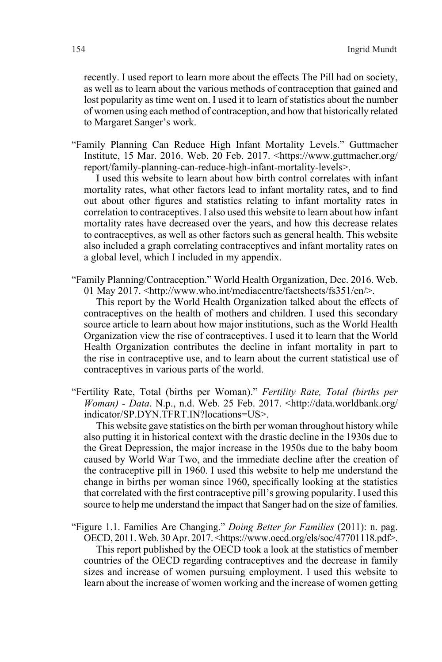recently. I used report to learn more about the effects The Pill had on society, as well as to learn about the various methods of contraception that gained and lost popularity as time went on. I used it to learn of statistics about the number of women using each method of contraception, and how that historically related to Margaret Sanger's work.

"Family Planning Can Reduce High Infant Mortality Levels." Guttmacher Institute, 15 Mar. 2016. Web. 20 Feb. 2017. <https://www.guttmacher.org/ report/family-planning-can-reduce-high-infant-mortality-levels>.

I used this website to learn about how birth control correlates with infant mortality rates, what other factors lead to infant mortality rates, and to find out about other figures and statistics relating to infant mortality rates in correlation to contraceptives. I also used this website to learn about how infant mortality rates have decreased over the years, and how this decrease relates to contraceptives, as well as other factors such as general health. This website also included a graph correlating contraceptives and infant mortality rates on a global level, which I included in my appendix.

"Family Planning/Contraception." World Health Organization, Dec. 2016. Web. 01 May 2017. <http://www.who.int/mediacentre/factsheets/fs351/en/>.

This report by the World Health Organization talked about the effects of contraceptives on the health of mothers and children. I used this secondary source article to learn about how major institutions, such as the World Health Organization view the rise of contraceptives. I used it to learn that the World Health Organization contributes the decline in infant mortality in part to the rise in contraceptive use, and to learn about the current statistical use of contraceptives in various parts of the world.

"Fertility Rate, Total (births per Woman)." *Fertility Rate, Total (births per Woman) - Data*. N.p., n.d. Web. 25 Feb. 2017. <http://data.worldbank.org/ indicator/SP.DYN.TFRT.IN?locations=US>.

This website gave statistics on the birth per woman throughout history while also putting it in historical context with the drastic decline in the 1930s due to the Great Depression, the major increase in the 1950s due to the baby boom caused by World War Two, and the immediate decline after the creation of the contraceptive pill in 1960. I used this website to help me understand the change in births per woman since 1960, specifically looking at the statistics that correlated with the first contraceptive pill's growing popularity. I used this source to help me understand the impact that Sanger had on the size of families.

"Figure 1.1. Families Are Changing." *Doing Better for Families* (2011): n. pag. OECD, 2011. Web. 30 Apr. 2017. <https://www.oecd.org/els/soc/47701118.pdf>. This report published by the OECD took a look at the statistics of member countries of the OECD regarding contraceptives and the decrease in family sizes and increase of women pursuing employment. I used this website to learn about the increase of women working and the increase of women getting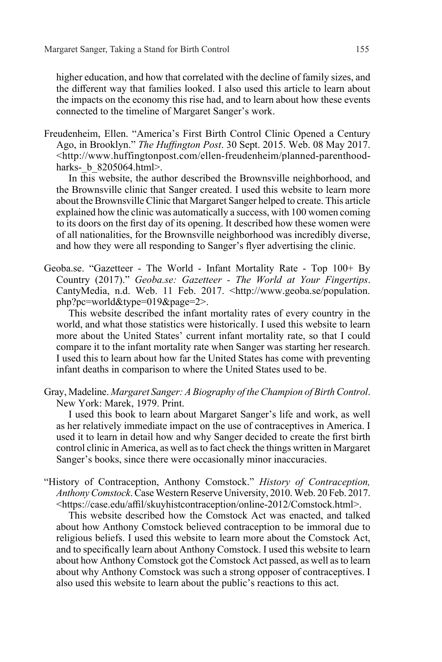higher education, and how that correlated with the decline of family sizes, and the different way that families looked. I also used this article to learn about the impacts on the economy this rise had, and to learn about how these events connected to the timeline of Margaret Sanger's work.

Freudenheim, Ellen. "America's First Birth Control Clinic Opened a Century Ago, in Brooklyn." *The Huffington Post*. 30 Sept. 2015. Web. 08 May 2017. <http://www.huffingtonpost.com/ellen-freudenheim/planned-parenthoodharks- b 8205064.html>.

In this website, the author described the Brownsville neighborhood, and the Brownsville clinic that Sanger created. I used this website to learn more about the Brownsville Clinic that Margaret Sanger helped to create. This article explained how the clinic was automatically a success, with 100 women coming to its doors on the first day of its opening. It described how these women were of all nationalities, for the Brownsville neighborhood was incredibly diverse, and how they were all responding to Sanger's flyer advertising the clinic.

Geoba.se. "Gazetteer - The World - Infant Mortality Rate - Top 100+ By Country (2017)." *Geoba.se: Gazetteer - The World at Your Fingertips*. CantyMedia, n.d. Web. 11 Feb. 2017. <http://www.geoba.se/population. php?pc=world&type=019&page=2>.

This website described the infant mortality rates of every country in the world, and what those statistics were historically. I used this website to learn more about the United States' current infant mortality rate, so that I could compare it to the infant mortality rate when Sanger was starting her research. I used this to learn about how far the United States has come with preventing infant deaths in comparison to where the United States used to be.

Gray, Madeline. *Margaret Sanger: A Biography of the Champion of Birth Control*. New York: Marek, 1979. Print.

I used this book to learn about Margaret Sanger's life and work, as well as her relatively immediate impact on the use of contraceptives in America. I used it to learn in detail how and why Sanger decided to create the first birth control clinic in America, as well as to fact check the things written in Margaret Sanger's books, since there were occasionally minor inaccuracies.

"History of Contraception, Anthony Comstock." *History of Contraception, Anthony Comstock*. Case Western Reserve University, 2010. Web. 20 Feb. 2017. <https://case.edu/affil/skuyhistcontraception/online-2012/Comstock.html>.

This website described how the Comstock Act was enacted, and talked about how Anthony Comstock believed contraception to be immoral due to religious beliefs. I used this website to learn more about the Comstock Act, and to specifically learn about Anthony Comstock. I used this website to learn about how Anthony Comstock got the Comstock Act passed, as well as to learn about why Anthony Comstock was such a strong opposer of contraceptives. I also used this website to learn about the public's reactions to this act.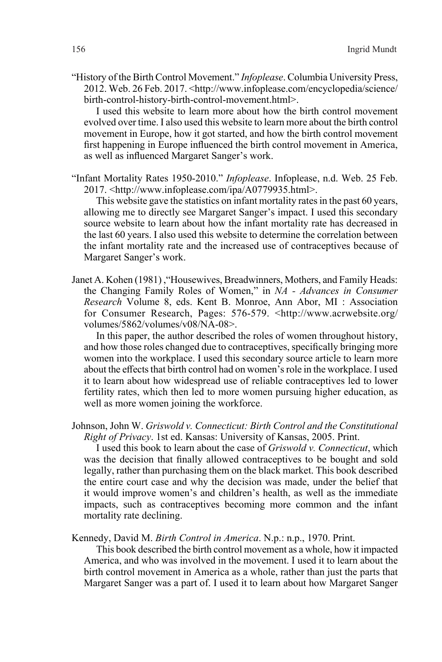"History of the Birth Control Movement." *Infoplease*. Columbia University Press, 2012. Web. 26 Feb. 2017. <http://www.infoplease.com/encyclopedia/science/ birth-control-history-birth-control-movement.html>.

I used this website to learn more about how the birth control movement evolved over time. I also used this website to learn more about the birth control movement in Europe, how it got started, and how the birth control movement first happening in Europe influenced the birth control movement in America, as well as influenced Margaret Sanger's work.

"Infant Mortality Rates 1950-2010." *Infoplease*. Infoplease, n.d. Web. 25 Feb. 2017. <http://www.infoplease.com/ipa/A0779935.html>.

This website gave the statistics on infant mortality rates in the past 60 years, allowing me to directly see Margaret Sanger's impact. I used this secondary source website to learn about how the infant mortality rate has decreased in the last 60 years. I also used this website to determine the correlation between the infant mortality rate and the increased use of contraceptives because of Margaret Sanger's work.

Janet A. Kohen (1981) ,"Housewives, Breadwinners, Mothers, and Family Heads: the Changing Family Roles of Women," in *NA - Advances in Consumer Research* Volume 8, eds. Kent B. Monroe, Ann Abor, MI : Association for Consumer Research, Pages: 576-579. <http://www.acrwebsite.org/ volumes/5862/volumes/v08/NA-08>.

In this paper, the author described the roles of women throughout history, and how those roles changed due to contraceptives, specifically bringing more women into the workplace. I used this secondary source article to learn more about the effects that birth control had on women's role in the workplace. I used it to learn about how widespread use of reliable contraceptives led to lower fertility rates, which then led to more women pursuing higher education, as well as more women joining the workforce.

Johnson, John W. *Griswold v. Connecticut: Birth Control and the Constitutional Right of Privacy*. 1st ed. Kansas: University of Kansas, 2005. Print.

I used this book to learn about the case of *Griswold v. Connecticut*, which was the decision that finally allowed contraceptives to be bought and sold legally, rather than purchasing them on the black market. This book described the entire court case and why the decision was made, under the belief that it would improve women's and children's health, as well as the immediate impacts, such as contraceptives becoming more common and the infant mortality rate declining.

Kennedy, David M. *Birth Control in America*. N.p.: n.p., 1970. Print.

This book described the birth control movement as a whole, how it impacted America, and who was involved in the movement. I used it to learn about the birth control movement in America as a whole, rather than just the parts that Margaret Sanger was a part of. I used it to learn about how Margaret Sanger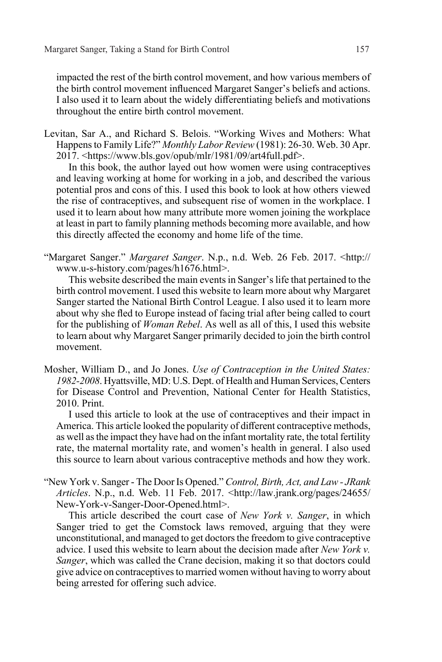impacted the rest of the birth control movement, and how various members of the birth control movement influenced Margaret Sanger's beliefs and actions. I also used it to learn about the widely differentiating beliefs and motivations throughout the entire birth control movement.

Levitan, Sar A., and Richard S. Belois. "Working Wives and Mothers: What Happens to Family Life?" *Monthly Labor Review* (1981): 26-30. Web. 30 Apr. 2017. <https://www.bls.gov/opub/mlr/1981/09/art4full.pdf>.

In this book, the author layed out how women were using contraceptives and leaving working at home for working in a job, and described the various potential pros and cons of this. I used this book to look at how others viewed the rise of contraceptives, and subsequent rise of women in the workplace. I used it to learn about how many attribute more women joining the workplace at least in part to family planning methods becoming more available, and how this directly affected the economy and home life of the time.

"Margaret Sanger." *Margaret Sanger*. N.p., n.d. Web. 26 Feb. 2017. <http:// www.u-s-history.com/pages/h1676.html>.

This website described the main events in Sanger's life that pertained to the birth control movement. I used this website to learn more about why Margaret Sanger started the National Birth Control League. I also used it to learn more about why she fled to Europe instead of facing trial after being called to court for the publishing of *Woman Rebel*. As well as all of this, I used this website to learn about why Margaret Sanger primarily decided to join the birth control movement.

Mosher, William D., and Jo Jones. *Use of Contraception in the United States: 1982-2008*. Hyattsville, MD: U.S. Dept. of Health and Human Services, Centers for Disease Control and Prevention, National Center for Health Statistics, 2010. Print.

I used this article to look at the use of contraceptives and their impact in America. This article looked the popularity of different contraceptive methods, as well as the impact they have had on the infant mortality rate, the total fertility rate, the maternal mortality rate, and women's health in general. I also used this source to learn about various contraceptive methods and how they work.

"New York v. Sanger - The Door Is Opened." *Control, Birth, Act, and Law - JRank Articles*. N.p., n.d. Web. 11 Feb. 2017. <http://law.jrank.org/pages/24655/ New-York-v-Sanger-Door-Opened.html>.

This article described the court case of *New York v. Sanger*, in which Sanger tried to get the Comstock laws removed, arguing that they were unconstitutional, and managed to get doctors the freedom to give contraceptive advice. I used this website to learn about the decision made after *New York v. Sanger*, which was called the Crane decision, making it so that doctors could give advice on contraceptives to married women without having to worry about being arrested for offering such advice.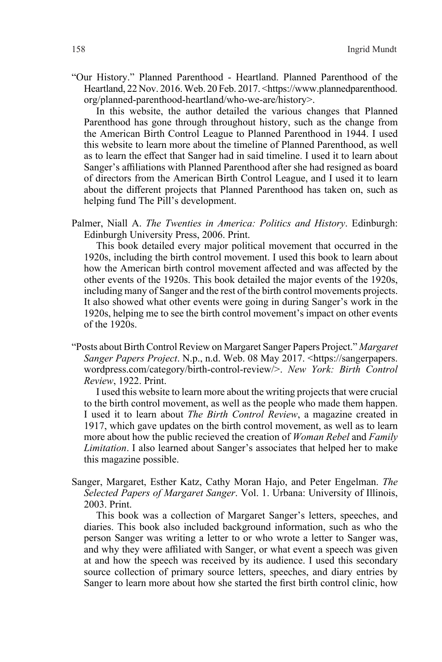"Our History." Planned Parenthood - Heartland. Planned Parenthood of the Heartland, 22 Nov. 2016. Web. 20 Feb. 2017. <https://www.plannedparenthood. org/planned-parenthood-heartland/who-we-are/history>.

In this website, the author detailed the various changes that Planned Parenthood has gone through throughout history, such as the change from the American Birth Control League to Planned Parenthood in 1944. I used this website to learn more about the timeline of Planned Parenthood, as well as to learn the effect that Sanger had in said timeline. I used it to learn about Sanger's affiliations with Planned Parenthood after she had resigned as board of directors from the American Birth Control League, and I used it to learn about the different projects that Planned Parenthood has taken on, such as helping fund The Pill's development.

Palmer, Niall A. *The Twenties in America: Politics and History*. Edinburgh: Edinburgh University Press, 2006. Print.

This book detailed every major political movement that occurred in the 1920s, including the birth control movement. I used this book to learn about how the American birth control movement affected and was affected by the other events of the 1920s. This book detailed the major events of the 1920s, including many of Sanger and the rest of the birth control movements projects. It also showed what other events were going in during Sanger's work in the 1920s, helping me to see the birth control movement's impact on other events of the 1920s.

"Posts about Birth Control Review on Margaret Sanger Papers Project." *Margaret Sanger Papers Project*. N.p., n.d. Web. 08 May 2017. <https://sangerpapers. wordpress.com/category/birth-control-review/>. *New York: Birth Control Review*, 1922. Print.

I used this website to learn more about the writing projects that were crucial to the birth control movement, as well as the people who made them happen. I used it to learn about *The Birth Control Review*, a magazine created in 1917, which gave updates on the birth control movement, as well as to learn more about how the public recieved the creation of *Woman Rebel* and *Family Limitation*. I also learned about Sanger's associates that helped her to make this magazine possible.

Sanger, Margaret, Esther Katz, Cathy Moran Hajo, and Peter Engelman. *The Selected Papers of Margaret Sanger*. Vol. 1. Urbana: University of Illinois, 2003. Print.

This book was a collection of Margaret Sanger's letters, speeches, and diaries. This book also included background information, such as who the person Sanger was writing a letter to or who wrote a letter to Sanger was, and why they were affiliated with Sanger, or what event a speech was given at and how the speech was received by its audience. I used this secondary source collection of primary source letters, speeches, and diary entries by Sanger to learn more about how she started the first birth control clinic, how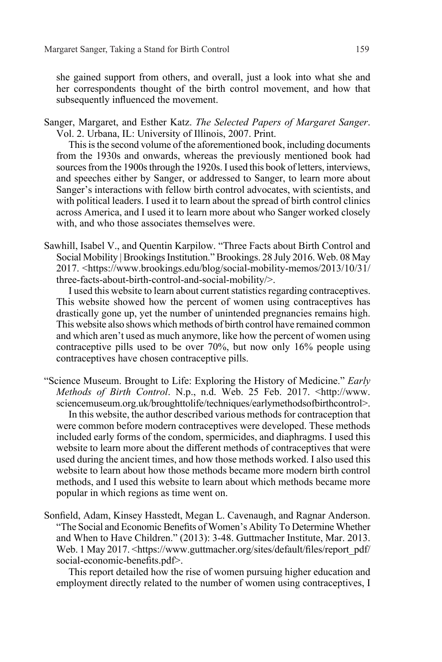she gained support from others, and overall, just a look into what she and her correspondents thought of the birth control movement, and how that subsequently influenced the movement.

Sanger, Margaret, and Esther Katz. *The Selected Papers of Margaret Sanger*. Vol. 2. Urbana, IL: University of Illinois, 2007. Print.

This is the second volume of the aforementioned book, including documents from the 1930s and onwards, whereas the previously mentioned book had sources from the 1900s through the 1920s. I used this book of letters, interviews, and speeches either by Sanger, or addressed to Sanger, to learn more about Sanger's interactions with fellow birth control advocates, with scientists, and with political leaders. I used it to learn about the spread of birth control clinics across America, and I used it to learn more about who Sanger worked closely with, and who those associates themselves were.

Sawhill, Isabel V., and Quentin Karpilow. "Three Facts about Birth Control and Social Mobility | Brookings Institution." Brookings. 28 July 2016. Web. 08 May 2017. <https://www.brookings.edu/blog/social-mobility-memos/2013/10/31/ three-facts-about-birth-control-and-social-mobility/>.

I used this website to learn about current statistics regarding contraceptives. This website showed how the percent of women using contraceptives has drastically gone up, yet the number of unintended pregnancies remains high. This website also shows which methods of birth control have remained common and which aren't used as much anymore, like how the percent of women using contraceptive pills used to be over 70%, but now only 16% people using contraceptives have chosen contraceptive pills.

- "Science Museum. Brought to Life: Exploring the History of Medicine." *Early Methods of Birth Control*. N.p., n.d. Web. 25 Feb. 2017. <http://www. sciencemuseum.org.uk/broughttolife/techniques/earlymethodsofbirthcontrol>. In this website, the author described various methods for contraception that were common before modern contraceptives were developed. These methods included early forms of the condom, spermicides, and diaphragms. I used this website to learn more about the different methods of contraceptives that were used during the ancient times, and how those methods worked. I also used this website to learn about how those methods became more modern birth control methods, and I used this website to learn about which methods became more popular in which regions as time went on.
- Sonfield, Adam, Kinsey Hasstedt, Megan L. Cavenaugh, and Ragnar Anderson. "The Social and Economic Benefits of Women's Ability To Determine Whether and When to Have Children." (2013): 3-48. Guttmacher Institute, Mar. 2013. Web. 1 May 2017. <https://www.guttmacher.org/sites/default/files/report\_pdf/ social-economic-benefits.pdf>.

This report detailed how the rise of women pursuing higher education and employment directly related to the number of women using contraceptives, I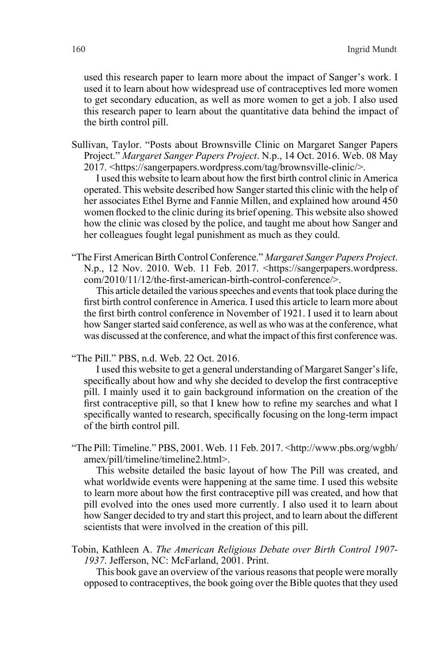used this research paper to learn more about the impact of Sanger's work. I used it to learn about how widespread use of contraceptives led more women to get secondary education, as well as more women to get a job. I also used this research paper to learn about the quantitative data behind the impact of the birth control pill.

Sullivan, Taylor. "Posts about Brownsville Clinic on Margaret Sanger Papers Project." *Margaret Sanger Papers Project*. N.p., 14 Oct. 2016. Web. 08 May 2017. <https://sangerpapers.wordpress.com/tag/brownsville-clinic/>.

I used this website to learn about how the first birth control clinic in America operated. This website described how Sanger started this clinic with the help of her associates Ethel Byrne and Fannie Millen, and explained how around 450 women flocked to the clinic during its brief opening. This website also showed how the clinic was closed by the police, and taught me about how Sanger and her colleagues fought legal punishment as much as they could.

"The First American Birth Control Conference." *Margaret Sanger Papers Project*. N.p., 12 Nov. 2010. Web. 11 Feb. 2017. <https://sangerpapers.wordpress. com/2010/11/12/the-first-american-birth-control-conference/>.

This article detailed the various speeches and events that took place during the first birth control conference in America. I used this article to learn more about the first birth control conference in November of 1921. I used it to learn about how Sanger started said conference, as well as who was at the conference, what was discussed at the conference, and what the impact of this first conference was.

"The Pill." PBS, n.d. Web. 22 Oct. 2016.

I used this website to get a general understanding of Margaret Sanger's life, specifically about how and why she decided to develop the first contraceptive pill. I mainly used it to gain background information on the creation of the first contraceptive pill, so that I knew how to refine my searches and what I specifically wanted to research, specifically focusing on the long-term impact of the birth control pill.

"The Pill: Timeline." PBS, 2001. Web. 11 Feb. 2017. <http://www.pbs.org/wgbh/ amex/pill/timeline/timeline2.html>.

This website detailed the basic layout of how The Pill was created, and what worldwide events were happening at the same time. I used this website to learn more about how the first contraceptive pill was created, and how that pill evolved into the ones used more currently. I also used it to learn about how Sanger decided to try and start this project, and to learn about the different scientists that were involved in the creation of this pill.

Tobin, Kathleen A. *The American Religious Debate over Birth Control 1907- 1937*. Jefferson, NC: McFarland, 2001. Print.

This book gave an overview of the various reasons that people were morally opposed to contraceptives, the book going over the Bible quotes that they used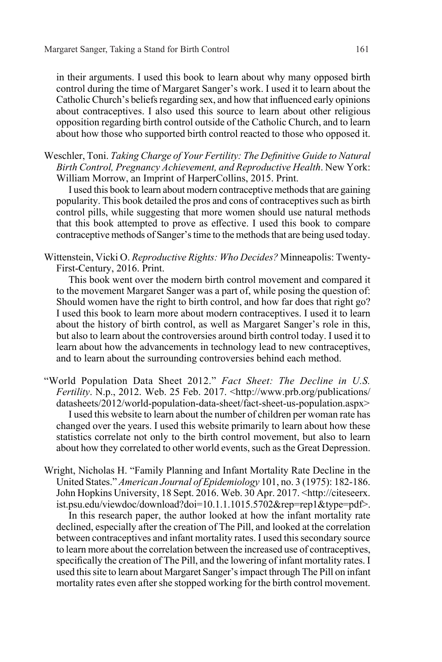in their arguments. I used this book to learn about why many opposed birth control during the time of Margaret Sanger's work. I used it to learn about the Catholic Church's beliefs regarding sex, and how that influenced early opinions about contraceptives. I also used this source to learn about other religious opposition regarding birth control outside of the Catholic Church, and to learn about how those who supported birth control reacted to those who opposed it.

Weschler, Toni. *Taking Charge of Your Fertility: The Definitive Guide to Natural Birth Control, Pregnancy Achievement, and Reproductive Health*. New York: William Morrow, an Imprint of HarperCollins, 2015. Print.

I used this book to learn about modern contraceptive methods that are gaining popularity. This book detailed the pros and cons of contraceptives such as birth control pills, while suggesting that more women should use natural methods that this book attempted to prove as effective. I used this book to compare contraceptive methods of Sanger's time to the methods that are being used today.

Wittenstein, Vicki O. *Reproductive Rights: Who Decides?* Minneapolis: Twenty-First-Century, 2016. Print.

This book went over the modern birth control movement and compared it to the movement Margaret Sanger was a part of, while posing the question of: Should women have the right to birth control, and how far does that right go? I used this book to learn more about modern contraceptives. I used it to learn about the history of birth control, as well as Margaret Sanger's role in this, but also to learn about the controversies around birth control today. I used it to learn about how the advancements in technology lead to new contraceptives, and to learn about the surrounding controversies behind each method.

- "World Population Data Sheet 2012." *Fact Sheet: The Decline in U.S. Fertility*. N.p., 2012. Web. 25 Feb. 2017. <http://www.prb.org/publications/ datasheets/2012/world-population-data-sheet/fact-sheet-us-population.aspx> I used this website to learn about the number of children per woman rate has changed over the years. I used this website primarily to learn about how these statistics correlate not only to the birth control movement, but also to learn about how they correlated to other world events, such as the Great Depression.
- Wright, Nicholas H. "Family Planning and Infant Mortality Rate Decline in the United States." *American Journal of Epidemiology* 101, no. 3 (1975): 182-186. John Hopkins University, 18 Sept. 2016. Web. 30 Apr. 2017. <http://citeseerx. ist.psu.edu/viewdoc/download?doi=10.1.1.1015.5702&rep=rep1&type=pdf>.

In this research paper, the author looked at how the infant mortality rate declined, especially after the creation of The Pill, and looked at the correlation between contraceptives and infant mortality rates. I used this secondary source to learn more about the correlation between the increased use of contraceptives, specifically the creation of The Pill, and the lowering of infant mortality rates. I used this site to learn about Margaret Sanger's impact through The Pill on infant mortality rates even after she stopped working for the birth control movement.